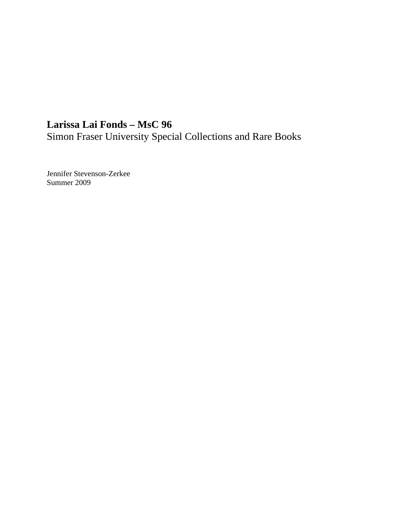# **Larissa Lai Fonds – MsC 96**

Simon Fraser University Special Collections and Rare Books

Jennifer Stevenson-Zerkee Summer 2009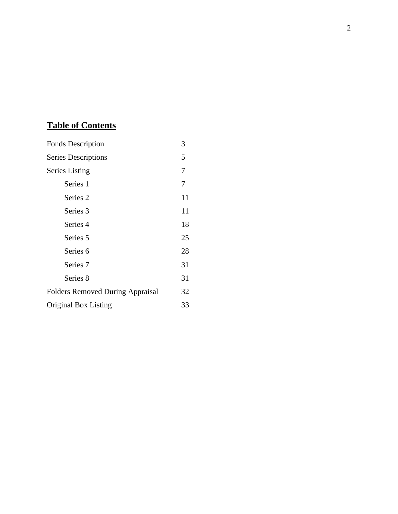# **Table of Contents**

| <b>Fonds Description</b>                | 3  |
|-----------------------------------------|----|
| <b>Series Descriptions</b>              | 5  |
| <b>Series Listing</b>                   | 7  |
| Series 1                                | 7  |
| Series 2                                | 11 |
| Series 3                                | 11 |
| Series 4                                | 18 |
| Series <sub>5</sub>                     | 25 |
| Series <sub>6</sub>                     | 28 |
| Series <sub>7</sub>                     | 31 |
| Series 8                                | 31 |
| <b>Folders Removed During Appraisal</b> | 32 |
| Original Box Listing                    | 33 |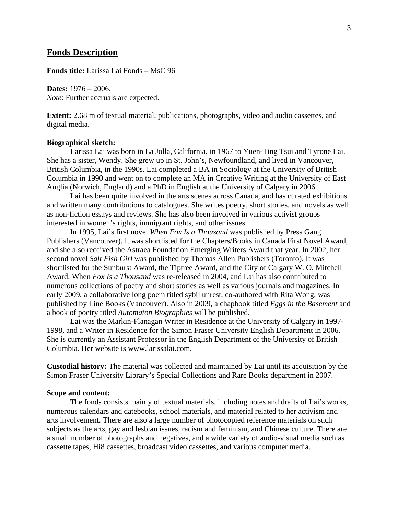# **Fonds Description**

**Fonds title:** Larissa Lai Fonds – MsC 96

**Dates:** 1976 – 2006. *Note*: Further accruals are expected.

**Extent:** 2.68 m of textual material, publications, photographs, video and audio cassettes, and digital media.

#### **Biographical sketch:**

Larissa Lai was born in La Jolla, California, in 1967 to Yuen-Ting Tsui and Tyrone Lai. She has a sister, Wendy. She grew up in St. John's, Newfoundland, and lived in Vancouver, British Columbia, in the 1990s. Lai completed a BA in Sociology at the University of British Columbia in 1990 and went on to complete an MA in Creative Writing at the University of East Anglia (Norwich, England) and a PhD in English at the University of Calgary in 2006.

Lai has been quite involved in the arts scenes across Canada, and has curated exhibitions and written many contributions to catalogues. She writes poetry, short stories, and novels as well as non-fiction essays and reviews. She has also been involved in various activist groups interested in women's rights, immigrant rights, and other issues.

In 1995, Lai's first novel *When Fox Is a Thousand* was published by Press Gang Publishers (Vancouver). It was shortlisted for the Chapters/Books in Canada First Novel Award, and she also received the Astraea Foundation Emerging Writers Award that year. In 2002, her second novel *Salt Fish Girl* was published by Thomas Allen Publishers (Toronto). It was shortlisted for the Sunburst Award, the Tiptree Award, and the City of Calgary W. O. Mitchell Award. When *Fox Is a Thousand* was re-released in 2004, and Lai has also contributed to numerous collections of poetry and short stories as well as various journals and magazines. In early 2009, a collaborative long poem titled sybil unrest, co-authored with Rita Wong, was published by Line Books (Vancouver). Also in 2009, a chapbook titled *Eggs in the Basement* and a book of poetry titled *Automaton Biographies* will be published.

Lai was the Markin-Flanagan Writer in Residence at the University of Calgary in 1997- 1998, and a Writer in Residence for the Simon Fraser University English Department in 2006. She is currently an Assistant Professor in the English Department of the University of British Columbia. Her website is www.larissalai.com.

**Custodial history:** The material was collected and maintained by Lai until its acquisition by the Simon Fraser University Library's Special Collections and Rare Books department in 2007.

#### **Scope and content:**

The fonds consists mainly of textual materials, including notes and drafts of Lai's works, numerous calendars and datebooks, school materials, and material related to her activism and arts involvement. There are also a large number of photocopied reference materials on such subjects as the arts, gay and lesbian issues, racism and feminism, and Chinese culture. There are a small number of photographs and negatives, and a wide variety of audio-visual media such as cassette tapes, Hi8 cassettes, broadcast video cassettes, and various computer media.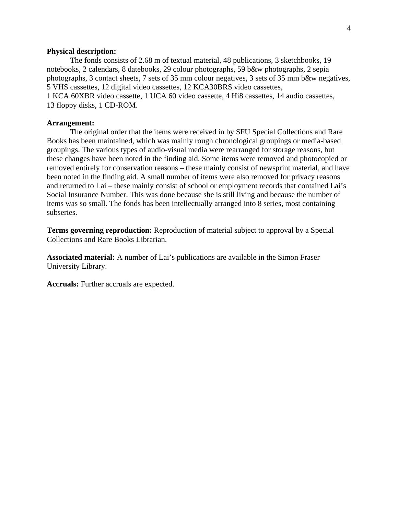## **Physical description:**

The fonds consists of 2.68 m of textual material, 48 publications, 3 sketchbooks, 19 notebooks, 2 calendars, 8 datebooks, 29 colour photographs, 59 b&w photographs, 2 sepia photographs, 3 contact sheets, 7 sets of 35 mm colour negatives, 3 sets of 35 mm b&w negatives, 5 VHS cassettes, 12 digital video cassettes, 12 KCA30BRS video cassettes, 1 KCA 60XBR video cassette, 1 UCA 60 video cassette, 4 Hi8 cassettes, 14 audio cassettes, 13 floppy disks, 1 CD-ROM.

#### **Arrangement:**

The original order that the items were received in by SFU Special Collections and Rare Books has been maintained, which was mainly rough chronological groupings or media-based groupings. The various types of audio-visual media were rearranged for storage reasons, but these changes have been noted in the finding aid. Some items were removed and photocopied or removed entirely for conservation reasons – these mainly consist of newsprint material, and have been noted in the finding aid. A small number of items were also removed for privacy reasons and returned to Lai – these mainly consist of school or employment records that contained Lai's Social Insurance Number. This was done because she is still living and because the number of items was so small. The fonds has been intellectually arranged into 8 series, most containing subseries.

**Terms governing reproduction:** Reproduction of material subject to approval by a Special Collections and Rare Books Librarian.

**Associated material:** A number of Lai's publications are available in the Simon Fraser University Library.

**Accruals:** Further accruals are expected.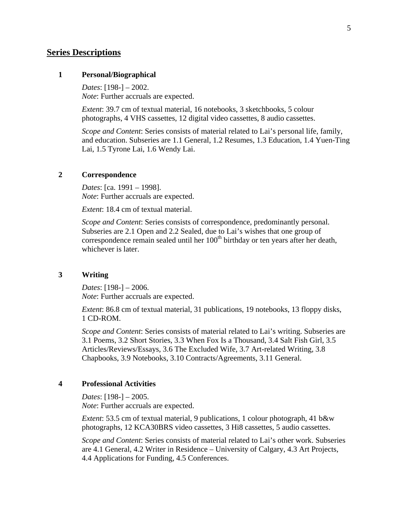# **Series Descriptions**

# **1 Personal/Biographical**

*Dates*: [198-] – 2002. *Note*: Further accruals are expected.

*Extent*: 39.7 cm of textual material, 16 notebooks, 3 sketchbooks, 5 colour photographs, 4 VHS cassettes, 12 digital video cassettes, 8 audio cassettes.

*Scope and Content*: Series consists of material related to Lai's personal life, family, and education. Subseries are 1.1 General, 1.2 Resumes, 1.3 Education, 1.4 Yuen-Ting Lai, 1.5 Tyrone Lai, 1.6 Wendy Lai.

## **2 Correspondence**

*Dates*: [ca. 1991 – 1998]. *Note*: Further accruals are expected.

*Extent*: 18.4 cm of textual material.

*Scope and Content*: Series consists of correspondence, predominantly personal. Subseries are 2.1 Open and 2.2 Sealed, due to Lai's wishes that one group of correspondence remain sealed until her  $100<sup>th</sup>$  birthday or ten years after her death, whichever is later.

# **3 Writing**

*Dates*: [198-] – 2006. *Note*: Further accruals are expected.

*Extent*: 86.8 cm of textual material, 31 publications, 19 notebooks, 13 floppy disks, 1 CD-ROM.

*Scope and Content*: Series consists of material related to Lai's writing. Subseries are 3.1 Poems, 3.2 Short Stories, 3.3 When Fox Is a Thousand, 3.4 Salt Fish Girl, 3.5 Articles/Reviews/Essays, 3.6 The Excluded Wife, 3.7 Art-related Writing, 3.8 Chapbooks, 3.9 Notebooks, 3.10 Contracts/Agreements, 3.11 General.

# **4 Professional Activities**

*Dates*: [198-] – 2005. *Note*: Further accruals are expected.

*Extent*: 53.5 cm of textual material, 9 publications, 1 colour photograph, 41 b&w photographs, 12 KCA30BRS video cassettes, 3 Hi8 cassettes, 5 audio cassettes.

*Scope and Content*: Series consists of material related to Lai's other work. Subseries are 4.1 General, 4.2 Writer in Residence – University of Calgary, 4.3 Art Projects, 4.4 Applications for Funding, 4.5 Conferences.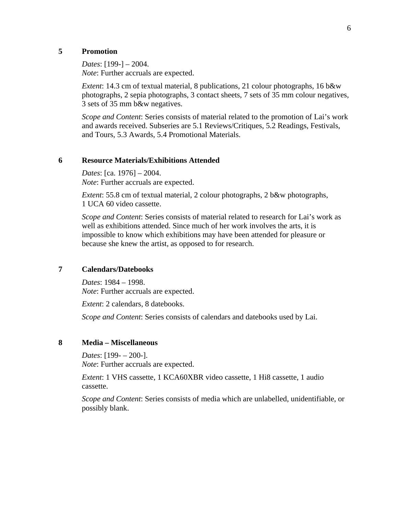# **5 Promotion**

*Dates*: [199-] – 2004. *Note*: Further accruals are expected.

*Extent*: 14.3 cm of textual material, 8 publications, 21 colour photographs, 16 b&w photographs, 2 sepia photographs, 3 contact sheets, 7 sets of 35 mm colour negatives, 3 sets of 35 mm b&w negatives.

*Scope and Content*: Series consists of material related to the promotion of Lai's work and awards received. Subseries are 5.1 Reviews/Critiques, 5.2 Readings, Festivals, and Tours, 5.3 Awards, 5.4 Promotional Materials.

# **6 Resource Materials/Exhibitions Attended**

*Dates*: [ca. 1976] – 2004. *Note*: Further accruals are expected.

*Extent*: 55.8 cm of textual material, 2 colour photographs, 2 b&w photographs, 1 UCA 60 video cassette.

*Scope and Content*: Series consists of material related to research for Lai's work as well as exhibitions attended. Since much of her work involves the arts, it is impossible to know which exhibitions may have been attended for pleasure or because she knew the artist, as opposed to for research.

# **7 Calendars/Datebooks**

*Dates*: 1984 – 1998. *Note*: Further accruals are expected.

*Extent*: 2 calendars, 8 datebooks.

*Scope and Content*: Series consists of calendars and datebooks used by Lai.

# **8 Media – Miscellaneous**

*Dates*: [199- – 200-]. *Note*: Further accruals are expected.

*Extent*: 1 VHS cassette, 1 KCA60XBR video cassette, 1 Hi8 cassette, 1 audio cassette.

*Scope and Content*: Series consists of media which are unlabelled, unidentifiable, or possibly blank.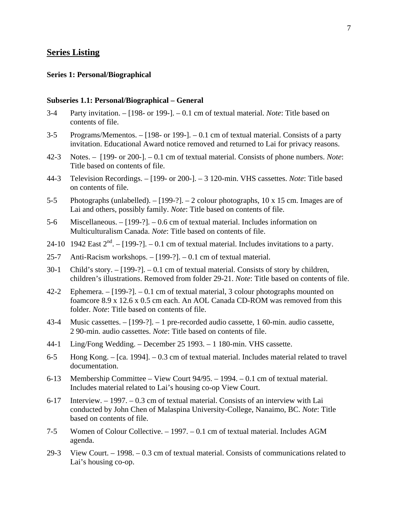# **Series Listing**

# **Series 1: Personal/Biographical**

#### **Subseries 1.1: Personal/Biographical – General**

- 3-4 Party invitation. [198- or 199-]. 0.1 cm of textual material. *Note*: Title based on contents of file.
- 3-5 Programs/Mementos. [198- or 199-]. 0.1 cm of textual material. Consists of a party invitation. Educational Award notice removed and returned to Lai for privacy reasons.
- 42-3 Notes. [199- or 200-]. 0.1 cm of textual material. Consists of phone numbers. *Note*: Title based on contents of file.
- 44-3 Television Recordings. [199- or 200-]. 3 120-min. VHS cassettes. *Note*: Title based on contents of file.
- 5-5 Photographs (unlabelled). [199-?]. 2 colour photographs, 10 x 15 cm. Images are of Lai and others, possibly family. *Note*: Title based on contents of file.
- 5-6 Miscellaneous. [199-?]. 0.6 cm of textual material. Includes information on Multiculturalism Canada. *Note*: Title based on contents of file.
- 24-10 1942 East  $2<sup>nd</sup>$ . [199-?]. 0.1 cm of textual material. Includes invitations to a party.
- 25-7 Anti-Racism workshops. [199-?]. 0.1 cm of textual material.
- 30-1 Child's story. [199-?]. 0.1 cm of textual material. Consists of story by children, children's illustrations. Removed from folder 29-21. *Note*: Title based on contents of file.
- 42-2 Ephemera. [199-?]. 0.1 cm of textual material, 3 colour photographs mounted on foamcore 8.9 x 12.6 x 0.5 cm each. An AOL Canada CD-ROM was removed from this folder. *Note*: Title based on contents of file.
- 43-4 Music cassettes. [199-?]. 1 pre-recorded audio cassette, 1 60-min. audio cassette, 2 90-min. audio cassettes. *Note*: Title based on contents of file.
- 44-1 Ling/Fong Wedding. December 25 1993. 1 180-min. VHS cassette.
- 6-5 Hong Kong. [ca. 1994]. 0.3 cm of textual material. Includes material related to travel documentation.
- 6-13 Membership Committee View Court 94/95. 1994. 0.1 cm of textual material. Includes material related to Lai's housing co-op View Court.
- 6-17 Interview. 1997. 0.3 cm of textual material. Consists of an interview with Lai conducted by John Chen of Malaspina University-College, Nanaimo, BC. *Note*: Title based on contents of file.
- 7-5 Women of Colour Collective. 1997. 0.1 cm of textual material. Includes AGM agenda.
- 29-3 View Court. 1998. 0.3 cm of textual material. Consists of communications related to Lai's housing co-op.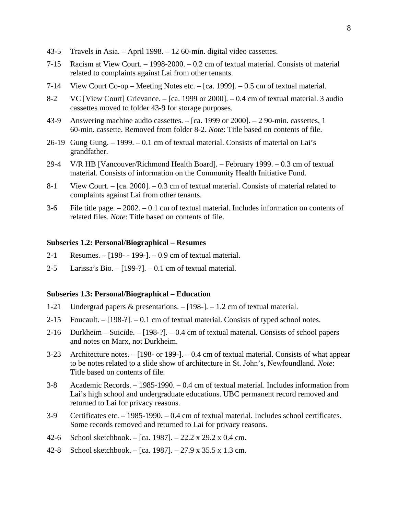- 43-5 Travels in Asia. April 1998. 12 60-min. digital video cassettes.
- 7-15 Racism at View Court. 1998-2000. 0.2 cm of textual material. Consists of material related to complaints against Lai from other tenants.
- 7-14 View Court Co-op Meeting Notes etc. [ca. 1999]. 0.5 cm of textual material.
- 8-2 VC [View Court] Grievance. [ca. 1999 or 2000]. 0.4 cm of textual material. 3 audio cassettes moved to folder 43-9 for storage purposes.
- 43-9 Answering machine audio cassettes. [ca. 1999 or 2000]. 2 90-min. cassettes, 1 60-min. cassette. Removed from folder 8-2. *Note*: Title based on contents of file.
- 26-19 Gung Gung. 1999. 0.1 cm of textual material. Consists of material on Lai's grandfather.
- 29-4 V/R HB [Vancouver/Richmond Health Board]. February 1999. 0.3 cm of textual material. Consists of information on the Community Health Initiative Fund.
- 8-1 View Court. [ca. 2000]. 0.3 cm of textual material. Consists of material related to complaints against Lai from other tenants.
- 3-6 File title page. 2002. 0.1 cm of textual material. Includes information on contents of related files. *Note*: Title based on contents of file.

#### **Subseries 1.2: Personal/Biographical – Resumes**

- 2-1 Resumes. [198- 199-]. 0.9 cm of textual material.
- 2-5 Larissa's Bio. [199-?]. 0.1 cm of textual material.

## **Subseries 1.3: Personal/Biographical – Education**

- 1-21 Undergrad papers & presentations. [198-]. 1.2 cm of textual material.
- 2-15 Foucault.  $-[198-?] 0.1$  cm of textual material. Consists of typed school notes.
- 2-16 Durkheim Suicide. [198-?]. 0.4 cm of textual material. Consists of school papers and notes on Marx, not Durkheim.
- 3-23 Architecture notes. [198- or 199-]. 0.4 cm of textual material. Consists of what appear to be notes related to a slide show of architecture in St. John's, Newfoundland. *Note*: Title based on contents of file.
- 3-8 Academic Records. 1985-1990. 0.4 cm of textual material. Includes information from Lai's high school and undergraduate educations. UBC permanent record removed and returned to Lai for privacy reasons.
- 3-9 Certificates etc. 1985-1990. 0.4 cm of textual material. Includes school certificates. Some records removed and returned to Lai for privacy reasons.
- 42-6 School sketchbook. [ca. 1987]. 22.2 x 29.2 x 0.4 cm.
- 42-8 School sketchbook. [ca. 1987]. 27.9 x 35.5 x 1.3 cm.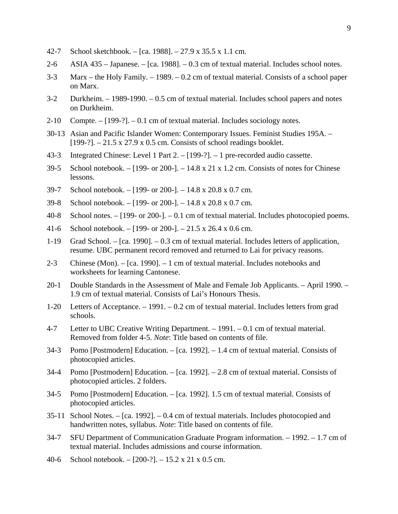- 42-7 School sketchbook. [ca. 1988]. 27.9 x 35.5 x 1.1 cm.
- 2-6 ASIA 435 Japanese. [ca. 1988]. 0.3 cm of textual material. Includes school notes.
- 3-3 Marx the Holy Family. 1989. 0.2 cm of textual material. Consists of a school paper on Marx.
- 3-2 Durkheim. 1989-1990. 0.5 cm of textual material. Includes school papers and notes on Durkheim.
- 2-10 Compte. [199-?]. 0.1 cm of textual material. Includes sociology notes.
- 30-13 Asian and Pacific Islander Women: Contemporary Issues. Feminist Studies 195A. [199-?]. – 21.5 x 27.9 x 0.5 cm. Consists of school readings booklet.
- 43-3 Integrated Chinese: Level 1 Part 2. [199-?]. 1 pre-recorded audio cassette.
- 39-5 School notebook. [199- or 200-]. 14.8 x 21 x 1.2 cm. Consists of notes for Chinese lessons.
- 39-7 School notebook. [199- or 200-]. 14.8 x 20.8 x 0.7 cm.
- 39-8 School notebook. [199- or 200-]. 14.8 x 20.8 x 0.7 cm.
- 40-8 School notes. [199- or 200-]. 0.1 cm of textual material. Includes photocopied poems.
- 41-6 School notebook. [199- or 200-]. 21.5 x 26.4 x 0.6 cm.
- 1-19 Grad School. [ca. 1990]. 0.3 cm of textual material. Includes letters of application, resume. UBC permanent record removed and returned to Lai for privacy reasons.
- 2-3 Chinese (Mon). [ca. 1990]. 1 cm of textual material. Includes notebooks and worksheets for learning Cantonese.
- 20-1 Double Standards in the Assessment of Male and Female Job Applicants. April 1990. 1.9 cm of textual material. Consists of Lai's Honours Thesis.
- 1-20 Letters of Acceptance. 1991. 0.2 cm of textual material. Includes letters from grad schools.
- 4-7 Letter to UBC Creative Writing Department. 1991. 0.1 cm of textual material. Removed from folder 4-5. *Note*: Title based on contents of file.
- 34-3 Pomo [Postmodern] Education. [ca. 1992]. 1.4 cm of textual material. Consists of photocopied articles.
- 34-4 Pomo [Postmodern] Education. [ca. 1992]. 2.8 cm of textual material. Consists of photocopied articles. 2 folders.
- 34-5 Pomo [Postmodern] Education. [ca. 1992]. 1.5 cm of textual material. Consists of photocopied articles.
- 35-11 School Notes. [ca. 1992]. 0.4 cm of textual materials. Includes photocopied and handwritten notes, syllabus. *Note*: Title based on contents of file.
- 34-7 SFU Department of Communication Graduate Program information. 1992. 1.7 cm of textual material. Includes admissions and course information.
- 40-6 School notebook. [200-?]. 15.2 x 21 x 0.5 cm.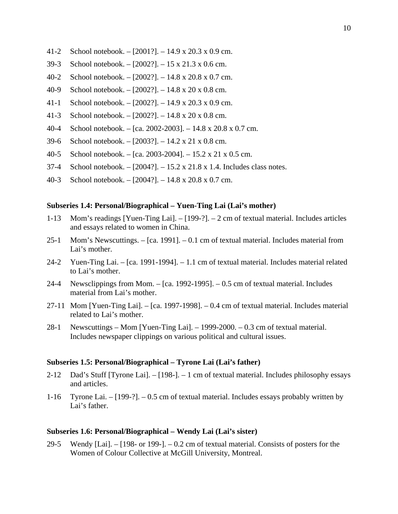- 41-2 School notebook. [2001?]. 14.9 x 20.3 x 0.9 cm.
- 39-3 School notebook. [2002?]. 15 x 21.3 x 0.6 cm.
- 40-2 School notebook. [2002?]. 14.8 x 20.8 x 0.7 cm.
- 40-9 School notebook. [2002?]. 14.8 x 20 x 0.8 cm.
- 41-1 School notebook. [2002?]. 14.9 x 20.3 x 0.9 cm.
- 41-3 School notebook. [2002?]. 14.8 x 20 x 0.8 cm.
- 40-4 School notebook. [ca. 2002-2003]. 14.8 x 20.8 x 0.7 cm.
- 39-6 School notebook. [2003?]. 14.2 x 21 x 0.8 cm.
- 40-5 School notebook. [ca. 2003-2004]. 15.2 x 21 x 0.5 cm.
- 37-4 School notebook. [2004?]. 15.2 x 21.8 x 1.4. Includes class notes.
- 40-3 School notebook. [2004?]. 14.8 x 20.8 x 0.7 cm.

## **Subseries 1.4: Personal/Biographical – Yuen-Ting Lai (Lai's mother)**

- 1-13 Mom's readings [Yuen-Ting Lai]. [199-?]. 2 cm of textual material. Includes articles and essays related to women in China.
- 25-1 Mom's Newscuttings. [ca. 1991]. 0.1 cm of textual material. Includes material from Lai's mother.
- 24-2 Yuen-Ting Lai. [ca. 1991-1994]. 1.1 cm of textual material. Includes material related to Lai's mother.
- 24-4 Newsclippings from Mom. [ca. 1992-1995]. 0.5 cm of textual material. Includes material from Lai's mother.
- 27-11 Mom [Yuen-Ting Lai]. [ca. 1997-1998]. 0.4 cm of textual material. Includes material related to Lai's mother.
- 28-1 Newscuttings Mom [Yuen-Ting Lai]. 1999-2000. 0.3 cm of textual material. Includes newspaper clippings on various political and cultural issues.

#### **Subseries 1.5: Personal/Biographical – Tyrone Lai (Lai's father)**

- 2-12 Dad's Stuff [Tyrone Lai]. [198-]. 1 cm of textual material. Includes philosophy essays and articles.
- 1-16 Tyrone Lai. [199-?]. 0.5 cm of textual material. Includes essays probably written by Lai's father.

#### **Subseries 1.6: Personal/Biographical – Wendy Lai (Lai's sister)**

29-5 Wendy [Lai].  $-$  [198- or 199-].  $-$  0.2 cm of textual material. Consists of posters for the Women of Colour Collective at McGill University, Montreal.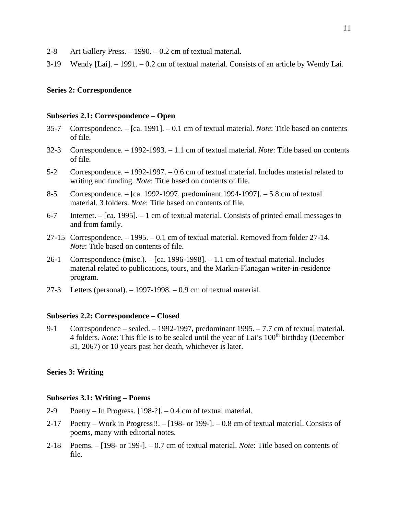- 2-8 Art Gallery Press. 1990. 0.2 cm of textual material.
- 3-19 Wendy [Lai]. 1991. 0.2 cm of textual material. Consists of an article by Wendy Lai.

# **Series 2: Correspondence**

## **Subseries 2.1: Correspondence – Open**

- 35-7 Correspondence. [ca. 1991]. 0.1 cm of textual material. *Note*: Title based on contents of file.
- 32-3 Correspondence. 1992-1993. 1.1 cm of textual material. *Note*: Title based on contents of file.
- 5-2 Correspondence. 1992-1997. 0.6 cm of textual material. Includes material related to writing and funding. *Note*: Title based on contents of file.
- 8-5 Correspondence. [ca. 1992-1997, predominant 1994-1997]. 5.8 cm of textual material. 3 folders. *Note*: Title based on contents of file.
- 6-7 Internet. [ca. 1995]. 1 cm of textual material. Consists of printed email messages to and from family.
- 27-15 Correspondence. 1995. 0.1 cm of textual material. Removed from folder 27-14. *Note*: Title based on contents of file.
- 26-1 Correspondence (misc.). [ca. 1996-1998]. 1.1 cm of textual material. Includes material related to publications, tours, and the Markin-Flanagan writer-in-residence program.
- 27-3 Letters (personal). 1997-1998. 0.9 cm of textual material.

## **Subseries 2.2: Correspondence – Closed**

9-1 Correspondence – sealed. – 1992-1997, predominant 1995. – 7.7 cm of textual material. 4 folders. *Note*: This file is to be sealed until the year of Lai's 100<sup>th</sup> birthday (December 31, 2067) or 10 years past her death, whichever is later.

## **Series 3: Writing**

#### **Subseries 3.1: Writing – Poems**

- 2-9 Poetry In Progress. [198-?]. 0.4 cm of textual material.
- 2-17 Poetry Work in Progress!!. [198- or 199-]. 0.8 cm of textual material. Consists of poems, many with editorial notes.
- 2-18 Poems. [198- or 199-]. 0.7 cm of textual material. *Note*: Title based on contents of file.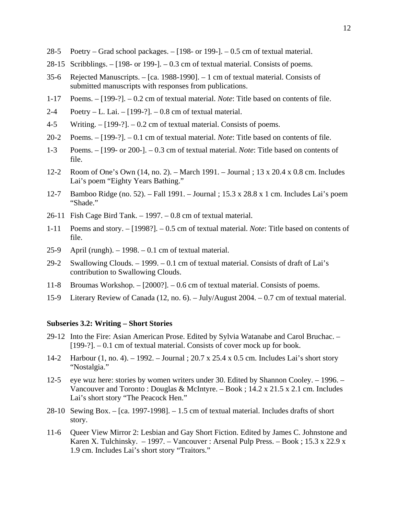- 28-5 Poetry Grad school packages. [198- or 199-]. 0.5 cm of textual material.
- 28-15 Scribblings. [198- or 199-]. 0.3 cm of textual material. Consists of poems.
- 35-6 Rejected Manuscripts. [ca. 1988-1990]. 1 cm of textual material. Consists of submitted manuscripts with responses from publications.
- 1-17 Poems. [199-?]. 0.2 cm of textual material. *Note*: Title based on contents of file.
- 2-4 Poetry L. Lai.  $[199-?]$ . 0.8 cm of textual material.
- 4-5 Writing. [199-?]. 0.2 cm of textual material. Consists of poems.
- 20-2 Poems. [199-?]. 0.1 cm of textual material. *Note*: Title based on contents of file.
- 1-3 Poems. [199- or 200-]. 0.3 cm of textual material. *Note*: Title based on contents of file.
- 12-2 Room of One's Own (14, no. 2). March 1991. Journal ; 13 x 20.4 x 0.8 cm. Includes Lai's poem "Eighty Years Bathing."
- 12-7 Bamboo Ridge (no. 52). Fall 1991. Journal ; 15.3 x 28.8 x 1 cm. Includes Lai's poem "Shade."
- 26-11 Fish Cage Bird Tank. 1997. 0.8 cm of textual material.
- 1-11 Poems and story. [1998?]. 0.5 cm of textual material. *Note*: Title based on contents of file.
- 25-9 April (rungh). 1998. 0.1 cm of textual material.
- 29-2 Swallowing Clouds. 1999. 0.1 cm of textual material. Consists of draft of Lai's contribution to Swallowing Clouds.
- 11-8 Broumas Workshop. [2000?]. 0.6 cm of textual material. Consists of poems.
- 15-9 Literary Review of Canada (12, no. 6). July/August 2004. 0.7 cm of textual material.

#### **Subseries 3.2: Writing – Short Stories**

- 29-12 Into the Fire: Asian American Prose. Edited by Sylvia Watanabe and Carol Bruchac. [199-?]. – 0.1 cm of textual material. Consists of cover mock up for book.
- 14-2 Harbour (1, no. 4). 1992. Journal ; 20.7 x 25.4 x 0.5 cm. Includes Lai's short story "Nostalgia."
- 12-5 eye wuz here: stories by women writers under 30. Edited by Shannon Cooley. 1996. Vancouver and Toronto : Douglas & McIntyre. – Book ; 14.2 x 21.5 x 2.1 cm. Includes Lai's short story "The Peacock Hen."
- 28-10 Sewing Box. [ca. 1997-1998]. 1.5 cm of textual material. Includes drafts of short story.
- 11-6 Queer View Mirror 2: Lesbian and Gay Short Fiction. Edited by James C. Johnstone and Karen X. Tulchinsky. – 1997. – Vancouver : Arsenal Pulp Press. – Book ; 15.3 x 22.9 x 1.9 cm. Includes Lai's short story "Traitors."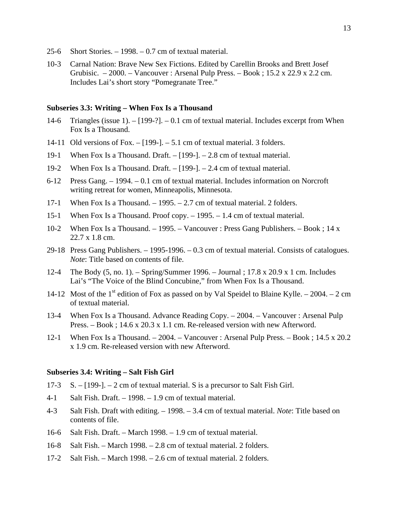- 25-6 Short Stories. 1998. 0.7 cm of textual material.
- 10-3 Carnal Nation: Brave New Sex Fictions. Edited by Carellin Brooks and Brett Josef Grubisic. – 2000. – Vancouver : Arsenal Pulp Press. – Book ; 15.2 x 22.9 x 2.2 cm. Includes Lai's short story "Pomegranate Tree."

#### **Subseries 3.3: Writing – When Fox Is a Thousand**

- 14-6 Triangles (issue 1). [199-?]. 0.1 cm of textual material. Includes excerpt from When Fox Is a Thousand.
- 14-11 Old versions of Fox. [199-]. 5.1 cm of textual material. 3 folders.
- 19-1 When Fox Is a Thousand. Draft. [199-]. 2.8 cm of textual material.
- 19-2 When Fox Is a Thousand. Draft. [199-]. 2.4 cm of textual material.
- 6-12 Press Gang. 1994. 0.1 cm of textual material. Includes information on Norcroft writing retreat for women, Minneapolis, Minnesota.
- 17-1 When Fox Is a Thousand. 1995. 2.7 cm of textual material. 2 folders.
- 15-1 When Fox Is a Thousand. Proof copy. 1995. 1.4 cm of textual material.
- 10-2 When Fox Is a Thousand. 1995. Vancouver : Press Gang Publishers. Book ; 14 x 22.7 x 1.8 cm.
- 29-18 Press Gang Publishers. 1995-1996. 0.3 cm of textual material. Consists of catalogues. *Note*: Title based on contents of file.
- 12-4 The Body (5, no. 1). Spring/Summer 1996. Journal ; 17.8 x 20.9 x 1 cm. Includes Lai's "The Voice of the Blind Concubine," from When Fox Is a Thousand.
- 14-12 Most of the 1<sup>st</sup> edition of Fox as passed on by Val Speidel to Blaine Kylle. 2004. 2 cm of textual material.
- 13-4 When Fox Is a Thousand. Advance Reading Copy. 2004. Vancouver : Arsenal Pulp Press. – Book ; 14.6 x 20.3 x 1.1 cm. Re-released version with new Afterword.
- 12-1 When Fox Is a Thousand. 2004. Vancouver : Arsenal Pulp Press. Book ; 14.5 x 20.2 x 1.9 cm. Re-released version with new Afterword.

## **Subseries 3.4: Writing – Salt Fish Girl**

- 17-3 S. [199-]. 2 cm of textual material. S is a precursor to Salt Fish Girl.
- 4-1 Salt Fish. Draft. 1998. 1.9 cm of textual material.
- 4-3 Salt Fish. Draft with editing. 1998. 3.4 cm of textual material. *Note*: Title based on contents of file.
- 16-6 Salt Fish. Draft. March 1998. 1.9 cm of textual material.
- 16-8 Salt Fish. March 1998. 2.8 cm of textual material. 2 folders.
- 17-2 Salt Fish. March 1998. 2.6 cm of textual material. 2 folders.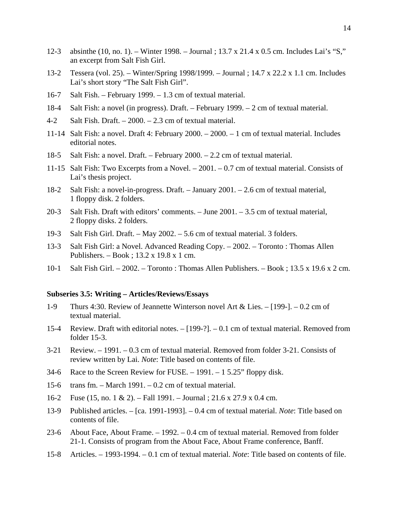- 12-3 absinthe (10, no. 1). Winter 1998. Journal ; 13.7 x 21.4 x 0.5 cm. Includes Lai's "S," an excerpt from Salt Fish Girl.
- 13-2 Tessera (vol. 25). Winter/Spring 1998/1999. Journal ; 14.7 x 22.2 x 1.1 cm. Includes Lai's short story "The Salt Fish Girl".
- 16-7 Salt Fish. February 1999. 1.3 cm of textual material.
- 18-4 Salt Fish: a novel (in progress). Draft. February 1999. 2 cm of textual material.
- 4-2 Salt Fish. Draft. 2000. 2.3 cm of textual material.
- 11-14 Salt Fish: a novel. Draft 4: February 2000. 2000. 1 cm of textual material. Includes editorial notes.
- 18-5 Salt Fish: a novel. Draft. February 2000. 2.2 cm of textual material.
- 11-15 Salt Fish: Two Excerpts from a Novel. 2001. 0.7 cm of textual material. Consists of Lai's thesis project.
- 18-2 Salt Fish: a novel-in-progress. Draft. January 2001. 2.6 cm of textual material, 1 floppy disk. 2 folders.
- 20-3 Salt Fish. Draft with editors' comments. June 2001. 3.5 cm of textual material, 2 floppy disks. 2 folders.
- 19-3 Salt Fish Girl. Draft. May 2002. 5.6 cm of textual material. 3 folders.
- 13-3 Salt Fish Girl: a Novel. Advanced Reading Copy. 2002. Toronto : Thomas Allen Publishers. – Book ; 13.2 x 19.8 x 1 cm.
- 10-1 Salt Fish Girl. 2002. Toronto : Thomas Allen Publishers. Book ; 13.5 x 19.6 x 2 cm.

## **Subseries 3.5: Writing – Articles/Reviews/Essays**

- 1-9 Thurs 4:30. Review of Jeannette Winterson novel Art & Lies. [199-]. 0.2 cm of textual material.
- 15-4 Review. Draft with editorial notes. [199-?]. 0.1 cm of textual material. Removed from folder 15-3.
- 3-21 Review. 1991. 0.3 cm of textual material. Removed from folder 3-21. Consists of review written by Lai. *Note*: Title based on contents of file.
- 34-6 Race to the Screen Review for FUSE. 1991. 1 5.25" floppy disk.
- 15-6 trans fm. March 1991. 0.2 cm of textual material.
- 16-2 Fuse (15, no. 1 & 2). Fall 1991. Journal ; 21.6 x 27.9 x 0.4 cm.
- 13-9 Published articles. [ca. 1991-1993]. 0.4 cm of textual material. *Note*: Title based on contents of file.
- 23-6 About Face, About Frame. 1992. 0.4 cm of textual material. Removed from folder 21-1. Consists of program from the About Face, About Frame conference, Banff.
- 15-8 Articles. 1993-1994. 0.1 cm of textual material. *Note*: Title based on contents of file.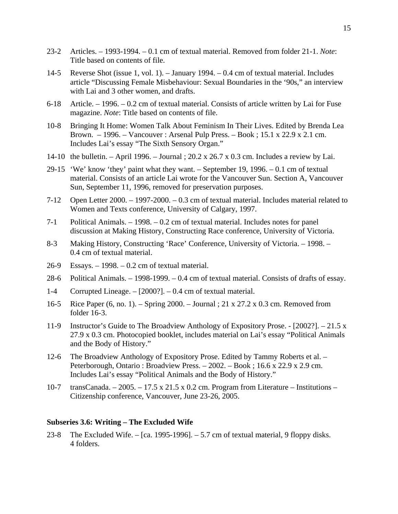- 23-2 Articles. 1993-1994. 0.1 cm of textual material. Removed from folder 21-1. *Note*: Title based on contents of file.
- 14-5 Reverse Shot (issue 1, vol. 1). January 1994. 0.4 cm of textual material. Includes article "Discussing Female Misbehaviour: Sexual Boundaries in the '90s," an interview with Lai and 3 other women, and drafts.
- 6-18 Article. 1996. 0.2 cm of textual material. Consists of article written by Lai for Fuse magazine. *Note*: Title based on contents of file.
- 10-8 Bringing It Home: Women Talk About Feminism In Their Lives. Edited by Brenda Lea Brown. – 1996. – Vancouver : Arsenal Pulp Press. – Book ; 15.1 x 22.9 x 2.1 cm. Includes Lai's essay "The Sixth Sensory Organ."
- 14-10 the bulletin. April 1996. Journal ; 20.2 x 26.7 x 0.3 cm. Includes a review by Lai.
- 29-15 'We' know 'they' paint what they want. September 19, 1996. 0.1 cm of textual material. Consists of an article Lai wrote for the Vancouver Sun. Section A, Vancouver Sun, September 11, 1996, removed for preservation purposes.
- 7-12 Open Letter 2000. 1997-2000. 0.3 cm of textual material. Includes material related to Women and Texts conference, University of Calgary, 1997.
- 7-1 Political Animals. 1998. 0.2 cm of textual material. Includes notes for panel discussion at Making History, Constructing Race conference, University of Victoria.
- 8-3 Making History, Constructing 'Race' Conference, University of Victoria. 1998. 0.4 cm of textual material.
- 26-9 Essays. 1998. 0.2 cm of textual material.
- 28-6 Political Animals. 1998-1999. 0.4 cm of textual material. Consists of drafts of essay.
- 1-4 Corrupted Lineage. [2000?]. 0.4 cm of textual material.
- 16-5 Rice Paper (6, no. 1). Spring 2000. Journal ; 21 x 27.2 x 0.3 cm. Removed from folder 16-3.
- 11-9 Instructor's Guide to The Broadview Anthology of Expository Prose. [2002?]. 21.5 x 27.9 x 0.3 cm. Photocopied booklet, includes material on Lai's essay "Political Animals and the Body of History."
- 12-6 The Broadview Anthology of Expository Prose. Edited by Tammy Roberts et al. Peterborough, Ontario : Broadview Press. – 2002. – Book ; 16.6 x 22.9 x 2.9 cm. Includes Lai's essay "Political Animals and the Body of History."
- 10-7 transCanada. 2005. 17.5 x 21.5 x 0.2 cm. Program from Literature Institutions Citizenship conference, Vancouver, June 23-26, 2005.

## **Subseries 3.6: Writing – The Excluded Wife**

23-8 The Excluded Wife. – [ca. 1995-1996]. – 5.7 cm of textual material, 9 floppy disks. 4 folders.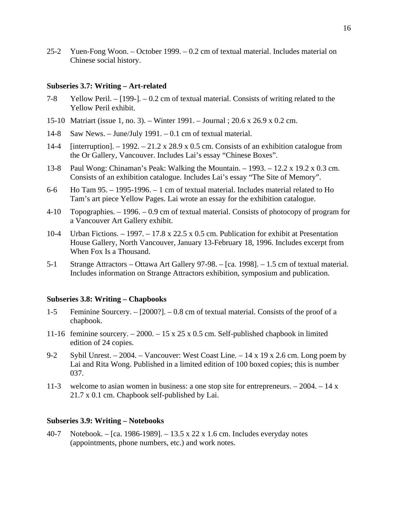25-2 Yuen-Fong Woon. – October 1999. – 0.2 cm of textual material. Includes material on Chinese social history.

## **Subseries 3.7: Writing – Art-related**

- 7-8 Yellow Peril. [199-]. 0.2 cm of textual material. Consists of writing related to the Yellow Peril exhibit.
- 15-10 Matriart (issue 1, no. 3). Winter 1991. Journal ; 20.6 x 26.9 x 0.2 cm.
- 14-8 Saw News. June/July 1991. 0.1 cm of textual material.
- 14-4 [interruption].  $-1992 21.2 \times 28.9 \times 0.5$  cm. Consists of an exhibition catalogue from the Or Gallery, Vancouver. Includes Lai's essay "Chinese Boxes".
- 13-8 Paul Wong: Chinaman's Peak: Walking the Mountain. 1993. 12.2 x 19.2 x 0.3 cm. Consists of an exhibition catalogue. Includes Lai's essay "The Site of Memory".
- 6-6 Ho Tam 95. 1995-1996. 1 cm of textual material. Includes material related to Ho Tam's art piece Yellow Pages. Lai wrote an essay for the exhibition catalogue.
- 4-10 Topographies. 1996. 0.9 cm of textual material. Consists of photocopy of program for a Vancouver Art Gallery exhibit.
- 10-4 Urban Fictions. 1997. 17.8 x 22.5 x 0.5 cm. Publication for exhibit at Presentation House Gallery, North Vancouver, January 13-February 18, 1996. Includes excerpt from When Fox Is a Thousand.
- 5-1 Strange Attractors Ottawa Art Gallery 97-98. [ca. 1998]. 1.5 cm of textual material. Includes information on Strange Attractors exhibition, symposium and publication.

#### **Subseries 3.8: Writing – Chapbooks**

- 1-5 Feminine Sourcery. [2000?]. 0.8 cm of textual material. Consists of the proof of a chapbook.
- 11-16 feminine sourcery. 2000. 15 x 25 x 0.5 cm. Self-published chapbook in limited edition of 24 copies.
- 9-2 Sybil Unrest. 2004. Vancouver: West Coast Line. 14 x 19 x 2.6 cm. Long poem by Lai and Rita Wong. Published in a limited edition of 100 boxed copies; this is number 037.
- 11-3 welcome to asian women in business: a one stop site for entrepreneurs. 2004. 14 x 21.7 x 0.1 cm. Chapbook self-published by Lai.

# **Subseries 3.9: Writing – Notebooks**

40-7 Notebook. – [ca. 1986-1989]. – 13.5 x 22 x 1.6 cm. Includes everyday notes (appointments, phone numbers, etc.) and work notes.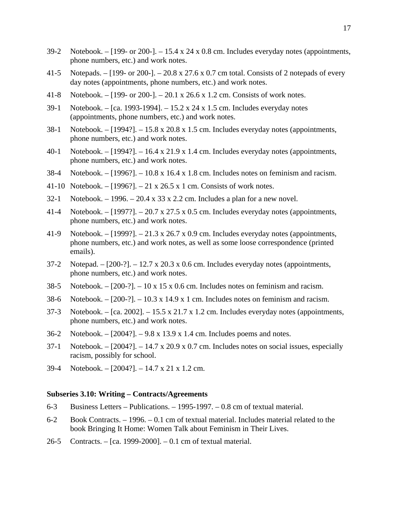- 39-2 Notebook. [199- or 200-]. 15.4 x 24 x 0.8 cm. Includes everyday notes (appointments, phone numbers, etc.) and work notes.
- 41-5 Notepads. [199- or 200-]. 20.8 x 27.6 x 0.7 cm total. Consists of 2 notepads of every day notes (appointments, phone numbers, etc.) and work notes.
- 41-8 Notebook. [199- or 200-]. 20.1 x 26.6 x 1.2 cm. Consists of work notes.
- 39-1 Notebook. [ca. 1993-1994]. 15.2 x 24 x 1.5 cm. Includes everyday notes (appointments, phone numbers, etc.) and work notes.
- 38-1 Notebook. [1994?]. 15.8 x 20.8 x 1.5 cm. Includes everyday notes (appointments, phone numbers, etc.) and work notes.
- 40-1 Notebook. [1994?]. 16.4 x 21.9 x 1.4 cm. Includes everyday notes (appointments, phone numbers, etc.) and work notes.
- 38-4 Notebook. [1996?]. 10.8 x 16.4 x 1.8 cm. Includes notes on feminism and racism.
- 41-10 Notebook. [1996?]. 21 x 26.5 x 1 cm. Consists of work notes.
- 32-1 Notebook.  $-1996$ .  $-20.4 \times 33 \times 2.2$  cm. Includes a plan for a new novel.
- 41-4 Notebook. [1997?]. 20.7 x 27.5 x 0.5 cm. Includes everyday notes (appointments, phone numbers, etc.) and work notes.
- 41-9 Notebook. [1999?]. 21.3 x 26.7 x 0.9 cm. Includes everyday notes (appointments, phone numbers, etc.) and work notes, as well as some loose correspondence (printed emails).
- 37-2 Notepad.  $[200-?]$ . 12.7 x 20.3 x 0.6 cm. Includes everyday notes (appointments, phone numbers, etc.) and work notes.
- 38-5 Notebook.  $[200-?]$ . 10 x 15 x 0.6 cm. Includes notes on feminism and racism.
- 38-6 Notebook. [200-?]. 10.3 x 14.9 x 1 cm. Includes notes on feminism and racism.
- 37-3 Notebook. [ca. 2002]. 15.5 x 21.7 x 1.2 cm. Includes everyday notes (appointments, phone numbers, etc.) and work notes.
- 36-2 Notebook. [2004?]. 9.8 x 13.9 x 1.4 cm. Includes poems and notes.
- 37-1 Notebook. [2004?]. 14.7 x 20.9 x 0.7 cm. Includes notes on social issues, especially racism, possibly for school.
- 39-4 Notebook. [2004?]. 14.7 x 21 x 1.2 cm.

## **Subseries 3.10: Writing – Contracts/Agreements**

- 6-3 Business Letters Publications. 1995-1997. 0.8 cm of textual material.
- 6-2 Book Contracts. 1996. 0.1 cm of textual material. Includes material related to the book Bringing It Home: Women Talk about Feminism in Their Lives.
- 26-5 Contracts. [ca. 1999-2000]. 0.1 cm of textual material.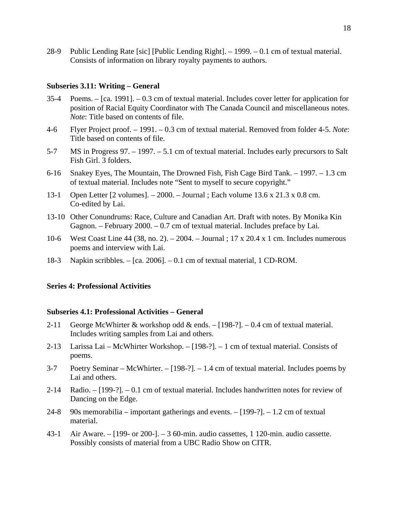28-9 Public Lending Rate [sic] [Public Lending Right]. – 1999. – 0.1 cm of textual material. Consists of information on library royalty payments to authors.

#### **Subseries 3.11: Writing – General**

- 35-4 Poems. [ca. 1991]. 0.3 cm of textual material. Includes cover letter for application for position of Racial Equity Coordinator with The Canada Council and miscellaneous notes. *Note*: Title based on contents of file.
- 4-6 Flyer Project proof. 1991. 0.3 cm of textual material. Removed from folder 4-5. *Note*: Title based on contents of file.
- 5-7 MS in Progress 97. 1997. 5.1 cm of textual material. Includes early precursors to Salt Fish Girl. 3 folders.
- 6-16 Snakey Eyes, The Mountain, The Drowned Fish, Fish Cage Bird Tank. 1997. 1.3 cm of textual material. Includes note "Sent to myself to secure copyright."
- 13-1 Open Letter [2 volumes]. 2000. Journal ; Each volume 13.6 x 21.3 x 0.8 cm. Co-edited by Lai.
- 13-10 Other Conundrums: Race, Culture and Canadian Art. Draft with notes. By Monika Kin Gagnon. – February 2000. – 0.7 cm of textual material. Includes preface by Lai.
- 10-6 West Coast Line 44 (38, no. 2). 2004. Journal ; 17 x 20.4 x 1 cm. Includes numerous poems and interview with Lai.
- 18-3 Napkin scribbles. [ca. 2006]. 0.1 cm of textual material, 1 CD-ROM.

## **Series 4: Professional Activities**

## **Subseries 4.1: Professional Activities – General**

- 2-11 George McWhirter & workshop odd & ends. [198-?]. 0.4 cm of textual material. Includes writing samples from Lai and others.
- 2-13 Larissa Lai McWhirter Workshop. [198-?]. 1 cm of textual material. Consists of poems.
- 3-7 Poetry Seminar McWhirter. [198-?]. 1.4 cm of textual material. Includes poems by Lai and others.
- 2-14 Radio. [199-?]. 0.1 cm of textual material. Includes handwritten notes for review of Dancing on the Edge.
- 24-8 90s memorabilia important gatherings and events.  $-$  [199-?].  $-$  1.2 cm of textual material.
- 43-1 Air Aware. [199- or 200-]. 3 60-min. audio cassettes, 1 120-min. audio cassette. Possibly consists of material from a UBC Radio Show on CITR.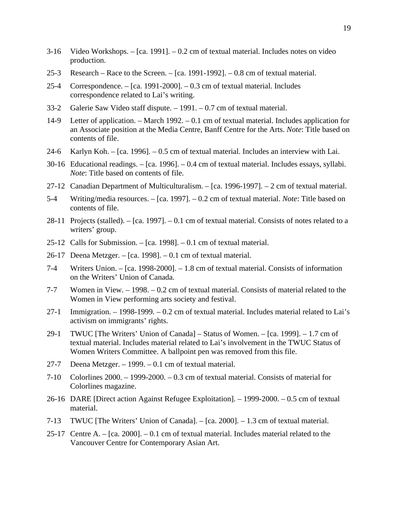- 3-16 Video Workshops. [ca. 1991]. 0.2 cm of textual material. Includes notes on video production.
- 25-3 Research Race to the Screen. [ca. 1991-1992]. 0.8 cm of textual material.
- 25-4 Correspondence. [ca. 1991-2000]. 0.3 cm of textual material. Includes correspondence related to Lai's writing.
- 33-2 Galerie Saw Video staff dispute. 1991. 0.7 cm of textual material.
- 14-9 Letter of application. March 1992. 0.1 cm of textual material. Includes application for an Associate position at the Media Centre, Banff Centre for the Arts. *Note*: Title based on contents of file.
- 24-6 Karlyn Koh. [ca. 1996]. 0.5 cm of textual material. Includes an interview with Lai.
- 30-16 Educational readings. [ca. 1996]. 0.4 cm of textual material. Includes essays, syllabi. *Note*: Title based on contents of file.
- 27-12 Canadian Department of Multiculturalism. [ca. 1996-1997]. 2 cm of textual material.
- 5-4 Writing/media resources. [ca. 1997]. 0.2 cm of textual material. *Note*: Title based on contents of file.
- 28-11 Projects (stalled). [ca. 1997]. 0.1 cm of textual material. Consists of notes related to a writers' group.
- 25-12 Calls for Submission. [ca. 1998]. 0.1 cm of textual material.
- 26-17 Deena Metzger. [ca. 1998]. 0.1 cm of textual material.
- 7-4 Writers Union. [ca. 1998-2000]. 1.8 cm of textual material. Consists of information on the Writers' Union of Canada.
- 7-7 Women in View. 1998. 0.2 cm of textual material. Consists of material related to the Women in View performing arts society and festival.
- 27-1 Immigration. 1998-1999. 0.2 cm of textual material. Includes material related to Lai's activism on immigrants' rights.
- 29-1 TWUC [The Writers' Union of Canada] Status of Women. [ca. 1999]. 1.7 cm of textual material. Includes material related to Lai's involvement in the TWUC Status of Women Writers Committee. A ballpoint pen was removed from this file.
- 27-7 Deena Metzger. 1999. 0.1 cm of textual material.
- 7-10 Colorlines 2000. 1999-2000. 0.3 cm of textual material. Consists of material for Colorlines magazine.
- 26-16 DARE [Direct action Against Refugee Exploitation]. 1999-2000. 0.5 cm of textual material.
- 7-13 TWUC [The Writers' Union of Canada]. [ca. 2000]. 1.3 cm of textual material.
- 25-17 Centre A. [ca. 2000]. 0.1 cm of textual material. Includes material related to the Vancouver Centre for Contemporary Asian Art.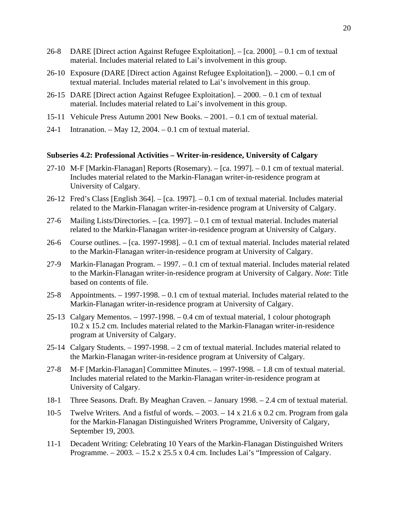- 26-8 DARE [Direct action Against Refugee Exploitation]. [ca. 2000]. 0.1 cm of textual material. Includes material related to Lai's involvement in this group.
- 26-10 Exposure (DARE [Direct action Against Refugee Exploitation]). 2000. 0.1 cm of textual material. Includes material related to Lai's involvement in this group.
- 26-15 DARE [Direct action Against Refugee Exploitation]. 2000. 0.1 cm of textual material. Includes material related to Lai's involvement in this group.
- 15-11 Vehicule Press Autumn 2001 New Books. 2001. 0.1 cm of textual material.
- 24-1 Intranation. May 12, 2004. 0.1 cm of textual material.

# **Subseries 4.2: Professional Activities – Writer-in-residence, University of Calgary**

- 27-10 M-F [Markin-Flanagan] Reports (Rosemary). [ca. 1997]. 0.1 cm of textual material. Includes material related to the Markin-Flanagan writer-in-residence program at University of Calgary.
- 26-12 Fred's Class [English 364]. [ca. 1997]. 0.1 cm of textual material. Includes material related to the Markin-Flanagan writer-in-residence program at University of Calgary.
- 27-6 Mailing Lists/Directories. [ca. 1997]. 0.1 cm of textual material. Includes material related to the Markin-Flanagan writer-in-residence program at University of Calgary.
- 26-6 Course outlines. [ca. 1997-1998]. 0.1 cm of textual material. Includes material related to the Markin-Flanagan writer-in-residence program at University of Calgary.
- 27-9 Markin-Flanagan Program. 1997. 0.1 cm of textual material. Includes material related to the Markin-Flanagan writer-in-residence program at University of Calgary. *Note*: Title based on contents of file.
- 25-8 Appointments. 1997-1998. 0.1 cm of textual material. Includes material related to the Markin-Flanagan writer-in-residence program at University of Calgary.
- 25-13 Calgary Mementos. 1997-1998. 0.4 cm of textual material, 1 colour photograph 10.2 x 15.2 cm. Includes material related to the Markin-Flanagan writer-in-residence program at University of Calgary.
- 25-14 Calgary Students. 1997-1998. 2 cm of textual material. Includes material related to the Markin-Flanagan writer-in-residence program at University of Calgary.
- 27-8 M-F [Markin-Flanagan] Committee Minutes. 1997-1998. 1.8 cm of textual material. Includes material related to the Markin-Flanagan writer-in-residence program at University of Calgary.
- 18-1 Three Seasons. Draft. By Meaghan Craven. January 1998. 2.4 cm of textual material.
- 10-5 Twelve Writers. And a fistful of words. 2003. 14 x 21.6 x 0.2 cm. Program from gala for the Markin-Flanagan Distinguished Writers Programme, University of Calgary, September 19, 2003.
- 11-1 Decadent Writing: Celebrating 10 Years of the Markin-Flanagan Distinguished Writers Programme.  $-2003. -15.2 \times 25.5 \times 0.4$  cm. Includes Lai's "Impression of Calgary.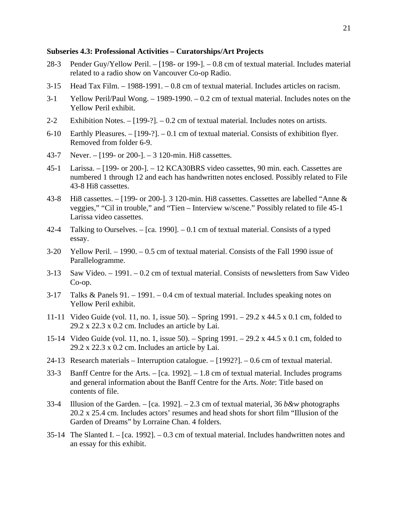## **Subseries 4.3: Professional Activities – Curatorships/Art Projects**

- 28-3 Pender Guy/Yellow Peril. [198- or 199-]. 0.8 cm of textual material. Includes material related to a radio show on Vancouver Co-op Radio.
- 3-15 Head Tax Film. 1988-1991. 0.8 cm of textual material. Includes articles on racism.
- 3-1 Yellow Peril/Paul Wong. 1989-1990. 0.2 cm of textual material. Includes notes on the Yellow Peril exhibit.
- 2-2 Exhibition Notes. [199-?]. 0.2 cm of textual material. Includes notes on artists.
- 6-10 Earthly Pleasures. [199-?]. 0.1 cm of textual material. Consists of exhibition flyer. Removed from folder 6-9.
- 43-7 Never. [199- or 200-]. 3 120-min. Hi8 cassettes.
- 45-1 Larissa. [199- or 200-]. 12 KCA30BRS video cassettes, 90 min. each. Cassettes are numbered 1 through 12 and each has handwritten notes enclosed. Possibly related to File 43-8 Hi8 cassettes.
- 43-8 Hi8 cassettes. [199- or 200-]. 3 120-min. Hi8 cassettes. Cassettes are labelled "Anne & veggies," "Cil in trouble," and "Tien – Interview w/scene." Possibly related to file 45-1 Larissa video cassettes.
- 42-4 Talking to Ourselves.  $-$  [ca. 1990].  $-$  0.1 cm of textual material. Consists of a typed essay.
- 3-20 Yellow Peril. 1990. 0.5 cm of textual material. Consists of the Fall 1990 issue of Parallelogramme.
- 3-13 Saw Video. 1991. 0.2 cm of textual material. Consists of newsletters from Saw Video Co-op.
- 3-17 Talks & Panels 91. 1991. 0.4 cm of textual material. Includes speaking notes on Yellow Peril exhibit.
- 11-11 Video Guide (vol. 11, no. 1, issue 50). Spring 1991. 29.2 x 44.5 x 0.1 cm, folded to 29.2 x 22.3 x 0.2 cm. Includes an article by Lai.
- 15-14 Video Guide (vol. 11, no. 1, issue 50). Spring 1991. 29.2 x 44.5 x 0.1 cm, folded to  $29.2 \times 22.3 \times 0.2$  cm. Includes an article by Lai.
- 24-13 Research materials Interruption catalogue. [1992?]. 0.6 cm of textual material.
- 33-3 Banff Centre for the Arts. [ca. 1992]. 1.8 cm of textual material. Includes programs and general information about the Banff Centre for the Arts. *Note*: Title based on contents of file.
- 33-4 Illusion of the Garden. [ca. 1992]. 2.3 cm of textual material, 36 *b&w* photographs 20.2 x 25.4 cm. Includes actors' resumes and head shots for short film "Illusion of the Garden of Dreams" by Lorraine Chan. 4 folders.
- 35-14 The Slanted I. [ca. 1992]. 0.3 cm of textual material. Includes handwritten notes and an essay for this exhibit.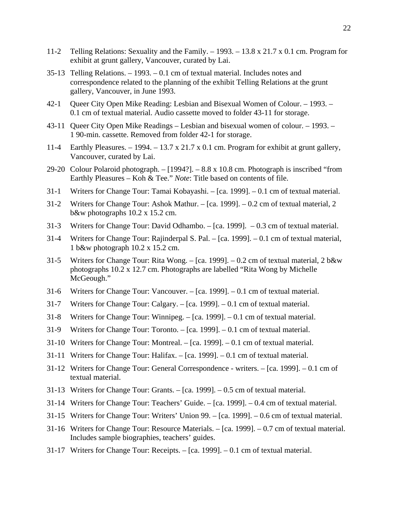- 11-2 Telling Relations: Sexuality and the Family. 1993. 13.8 x 21.7 x 0.1 cm. Program for exhibit at grunt gallery, Vancouver, curated by Lai.
- 35-13 Telling Relations. 1993. 0.1 cm of textual material. Includes notes and correspondence related to the planning of the exhibit Telling Relations at the grunt gallery, Vancouver, in June 1993.
- 42-1 Queer City Open Mike Reading: Lesbian and Bisexual Women of Colour. 1993. 0.1 cm of textual material. Audio cassette moved to folder 43-11 for storage.
- 43-11 Queer City Open Mike Readings Lesbian and bisexual women of colour. 1993. 1 90-min. cassette. Removed from folder 42-1 for storage.
- 11-4 Earthly Pleasures.  $-1994. -13.7 \times 21.7 \times 0.1 \text{ cm}$ . Program for exhibit at grunt gallery, Vancouver, curated by Lai.
- 29-20 Colour Polaroid photograph. [1994?]. 8.8 x 10.8 cm. Photograph is inscribed "from Earthly Pleasures – Koh & Tee." *Note*: Title based on contents of file.
- 31-1 Writers for Change Tour: Tamai Kobayashi. [ca. 1999]. 0.1 cm of textual material.
- 31-2 Writers for Change Tour: Ashok Mathur. [ca. 1999]. 0.2 cm of textual material, 2 b&w photographs 10.2 x 15.2 cm.
- 31-3 Writers for Change Tour: David Odhambo. [ca. 1999]. 0.3 cm of textual material.
- 31-4 Writers for Change Tour: Rajinderpal S. Pal. [ca. 1999]. 0.1 cm of textual material, 1 b&w photograph 10.2 x 15.2 cm.
- 31-5 Writers for Change Tour: Rita Wong. [ca. 1999]. 0.2 cm of textual material, 2 b&w photographs 10.2 x 12.7 cm. Photographs are labelled "Rita Wong by Michelle McGeough."
- 31-6 Writers for Change Tour: Vancouver. [ca. 1999]. 0.1 cm of textual material.
- 31-7 Writers for Change Tour: Calgary. [ca. 1999]. 0.1 cm of textual material.
- 31-8 Writers for Change Tour: Winnipeg. [ca. 1999]. 0.1 cm of textual material.
- 31-9 Writers for Change Tour: Toronto. [ca. 1999]. 0.1 cm of textual material.
- 31-10 Writers for Change Tour: Montreal. [ca. 1999]. 0.1 cm of textual material.
- 31-11 Writers for Change Tour: Halifax. [ca. 1999]. 0.1 cm of textual material.
- 31-12 Writers for Change Tour: General Correspondence writers. [ca. 1999]. 0.1 cm of textual material.
- 31-13 Writers for Change Tour: Grants. [ca. 1999]. 0.5 cm of textual material.
- 31-14 Writers for Change Tour: Teachers' Guide. [ca. 1999]. 0.4 cm of textual material.
- 31-15 Writers for Change Tour: Writers' Union 99. [ca. 1999]. 0.6 cm of textual material.
- 31-16 Writers for Change Tour: Resource Materials. [ca. 1999]. 0.7 cm of textual material. Includes sample biographies, teachers' guides.
- 31-17 Writers for Change Tour: Receipts. [ca. 1999]. 0.1 cm of textual material.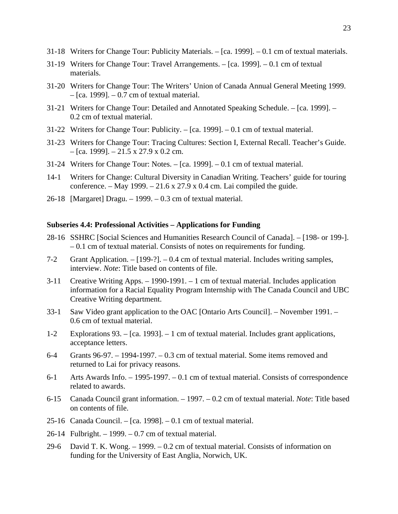- 31-18 Writers for Change Tour: Publicity Materials. [ca. 1999]. 0.1 cm of textual materials.
- 31-19 Writers for Change Tour: Travel Arrangements. [ca. 1999]. 0.1 cm of textual materials.
- 31-20 Writers for Change Tour: The Writers' Union of Canada Annual General Meeting 1999.  $-$  [ca. 1999].  $-$  0.7 cm of textual material.
- 31-21 Writers for Change Tour: Detailed and Annotated Speaking Schedule. [ca. 1999]. 0.2 cm of textual material.
- 31-22 Writers for Change Tour: Publicity. [ca. 1999]. 0.1 cm of textual material.
- 31-23 Writers for Change Tour: Tracing Cultures: Section I, External Recall. Teacher's Guide.  $-$  [ca. 1999].  $-$  21.5 x 27.9 x 0.2 cm.
- 31-24 Writers for Change Tour: Notes. [ca. 1999]. 0.1 cm of textual material.
- 14-1 Writers for Change: Cultural Diversity in Canadian Writing. Teachers' guide for touring conference. – May 1999. – 21.6 x 27.9 x 0.4 cm. Lai compiled the guide.
- 26-18 [Margaret] Dragu. 1999. 0.3 cm of textual material.

# **Subseries 4.4: Professional Activities – Applications for Funding**

- 28-16 SSHRC [Social Sciences and Humanities Research Council of Canada]. [198- or 199-]. – 0.1 cm of textual material. Consists of notes on requirements for funding.
- 7-2 Grant Application. [199-?]. 0.4 cm of textual material. Includes writing samples, interview. *Note*: Title based on contents of file.
- 3-11 Creative Writing Apps. 1990-1991. 1 cm of textual material. Includes application information for a Racial Equality Program Internship with The Canada Council and UBC Creative Writing department.
- 33-1 Saw Video grant application to the OAC [Ontario Arts Council]. November 1991. 0.6 cm of textual material.
- 1-2 Explorations 93. [ca. 1993]. 1 cm of textual material. Includes grant applications, acceptance letters.
- 6-4 Grants 96-97. 1994-1997. 0.3 cm of textual material. Some items removed and returned to Lai for privacy reasons.
- 6-1 Arts Awards Info. 1995-1997. 0.1 cm of textual material. Consists of correspondence related to awards.
- 6-15 Canada Council grant information. 1997. 0.2 cm of textual material. *Note*: Title based on contents of file.
- 25-16 Canada Council. [ca. 1998]. 0.1 cm of textual material.
- 26-14 Fulbright. 1999. 0.7 cm of textual material.
- 29-6 David T. K. Wong. 1999. 0.2 cm of textual material. Consists of information on funding for the University of East Anglia, Norwich, UK.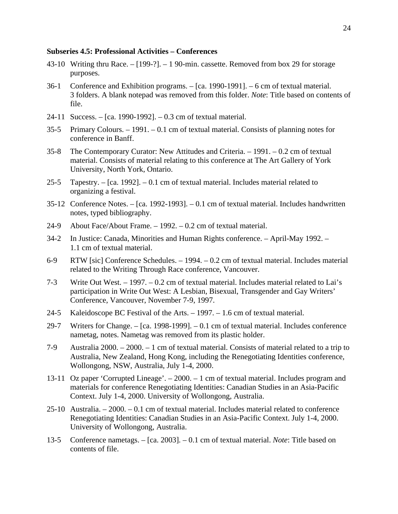## **Subseries 4.5: Professional Activities – Conferences**

- 43-10 Writing thru Race.  $-$  [199-?].  $-$  1 90-min. cassette. Removed from box 29 for storage purposes.
- 36-1 Conference and Exhibition programs. [ca. 1990-1991]. 6 cm of textual material. 3 folders. A blank notepad was removed from this folder. *Note*: Title based on contents of file.
- 24-11 Success. [ca. 1990-1992]. 0.3 cm of textual material.
- 35-5 Primary Colours. 1991. 0.1 cm of textual material. Consists of planning notes for conference in Banff.
- 35-8 The Contemporary Curator: New Attitudes and Criteria. 1991. 0.2 cm of textual material. Consists of material relating to this conference at The Art Gallery of York University, North York, Ontario.
- 25-5 Tapestry. [ca. 1992]. 0.1 cm of textual material. Includes material related to organizing a festival.
- 35-12 Conference Notes. [ca. 1992-1993]. 0.1 cm of textual material. Includes handwritten notes, typed bibliography.
- 24-9 About Face/About Frame. 1992. 0.2 cm of textual material.
- 34-2 In Justice: Canada, Minorities and Human Rights conference. April-May 1992. 1.1 cm of textual material.
- 6-9 RTW [sic] Conference Schedules. 1994. 0.2 cm of textual material. Includes material related to the Writing Through Race conference, Vancouver.
- 7-3 Write Out West. 1997. 0.2 cm of textual material. Includes material related to Lai's participation in Write Out West: A Lesbian, Bisexual, Transgender and Gay Writers' Conference, Vancouver, November 7-9, 1997.
- 24-5 Kaleidoscope BC Festival of the Arts. 1997. 1.6 cm of textual material.
- 29-7 Writers for Change. [ca. 1998-1999]. 0.1 cm of textual material. Includes conference nametag, notes. Nametag was removed from its plastic holder.
- 7-9 Australia 2000. 2000. 1 cm of textual material. Consists of material related to a trip to Australia, New Zealand, Hong Kong, including the Renegotiating Identities conference, Wollongong, NSW, Australia, July 1-4, 2000.
- 13-11 Oz paper 'Corrupted Lineage'. 2000. 1 cm of textual material. Includes program and materials for conference Renegotiating Identities: Canadian Studies in an Asia-Pacific Context. July 1-4, 2000. University of Wollongong, Australia.
- 25-10 Australia. 2000. 0.1 cm of textual material. Includes material related to conference Renegotiating Identities: Canadian Studies in an Asia-Pacific Context. July 1-4, 2000. University of Wollongong, Australia.
- 13-5 Conference nametags. [ca. 2003]. 0.1 cm of textual material. *Note*: Title based on contents of file.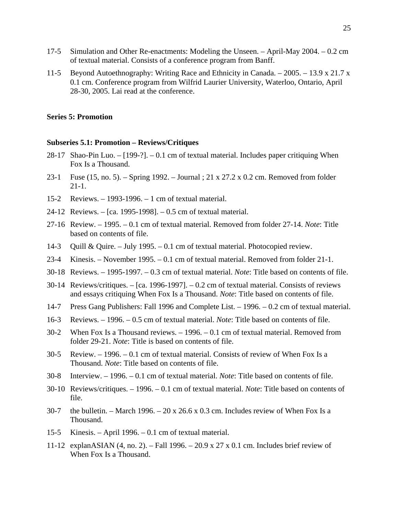- 17-5 Simulation and Other Re-enactments: Modeling the Unseen. April-May 2004. 0.2 cm of textual material. Consists of a conference program from Banff.
- 11-5 Beyond Autoethnography: Writing Race and Ethnicity in Canada. 2005. 13.9 x 21.7 x 0.1 cm. Conference program from Wilfrid Laurier University, Waterloo, Ontario, April 28-30, 2005. Lai read at the conference.

## **Series 5: Promotion**

## **Subseries 5.1: Promotion – Reviews/Critiques**

- 28-17 Shao-Pin Luo. [199-?]. 0.1 cm of textual material. Includes paper critiquing When Fox Is a Thousand.
- 23-1 Fuse (15, no. 5). Spring 1992. Journal ; 21 x 27.2 x 0.2 cm. Removed from folder 21-1.
- 15-2 Reviews. 1993-1996. 1 cm of textual material.
- 24-12 Reviews. [ca. 1995-1998]. 0.5 cm of textual material.
- 27-16 Review. 1995. 0.1 cm of textual material. Removed from folder 27-14. *Note*: Title based on contents of file.
- 14-3 Quill & Quire. July 1995. 0.1 cm of textual material. Photocopied review.
- 23-4 Kinesis. November 1995. 0.1 cm of textual material. Removed from folder 21-1.
- 30-18 Reviews. 1995-1997. 0.3 cm of textual material. *Note*: Title based on contents of file.
- 30-14 Reviews/critiques. [ca. 1996-1997]. 0.2 cm of textual material. Consists of reviews and essays critiquing When Fox Is a Thousand. *Note*: Title based on contents of file.
- 14-7 Press Gang Publishers: Fall 1996 and Complete List. 1996. 0.2 cm of textual material.
- 16-3 Reviews. 1996. 0.5 cm of textual material. *Note*: Title based on contents of file.
- 30-2 When Fox Is a Thousand reviews. 1996. 0.1 cm of textual material. Removed from folder 29-21. *Note*: Title is based on contents of file.
- 30-5 Review. 1996. 0.1 cm of textual material. Consists of review of When Fox Is a Thousand. *Note*: Title based on contents of file.
- 30-8 Interview. 1996. 0.1 cm of textual material. *Note*: Title based on contents of file.
- 30-10 Reviews/critiques. 1996. 0.1 cm of textual material. *Note*: Title based on contents of file.
- 30-7 the bulletin. March 1996. 20 x 26.6 x 0.3 cm. Includes review of When Fox Is a Thousand.
- 15-5 Kinesis. April 1996. 0.1 cm of textual material.
- 11-12 explanASIAN (4, no. 2). Fall 1996. 20.9 x 27 x 0.1 cm. Includes brief review of When Fox Is a Thousand.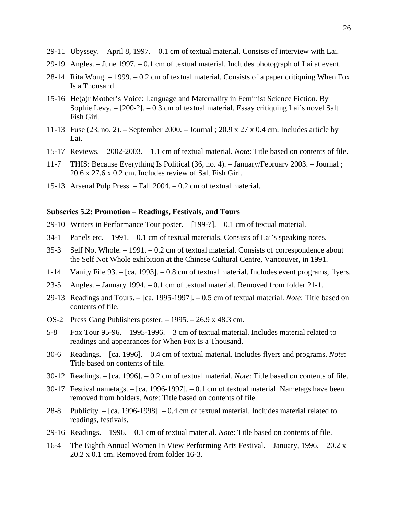- 29-11 Ubyssey. April 8, 1997. 0.1 cm of textual material. Consists of interview with Lai.
- 29-19 Angles. June 1997. 0.1 cm of textual material. Includes photograph of Lai at event.
- 28-14 Rita Wong. 1999. 0.2 cm of textual material. Consists of a paper critiquing When Fox Is a Thousand.
- 15-16 He(a)r Mother's Voice: Language and Maternality in Feminist Science Fiction. By Sophie Levy. – [200-?]. – 0.3 cm of textual material. Essay critiquing Lai's novel Salt Fish Girl.
- 11-13 Fuse (23, no. 2). September 2000. Journal ; 20.9 x 27 x 0.4 cm. Includes article by Lai.
- 15-17 Reviews. 2002-2003. 1.1 cm of textual material. *Note*: Title based on contents of file.
- 11-7 THIS: Because Everything Is Political (36, no. 4). January/February 2003. Journal ; 20.6 x 27.6 x 0.2 cm. Includes review of Salt Fish Girl.
- 15-13 Arsenal Pulp Press. Fall 2004. 0.2 cm of textual material.

## **Subseries 5.2: Promotion – Readings, Festivals, and Tours**

- 29-10 Writers in Performance Tour poster. [199-?]. 0.1 cm of textual material.
- 34-1 Panels etc. 1991. 0.1 cm of textual materials. Consists of Lai's speaking notes.
- 35-3 Self Not Whole. 1991. 0.2 cm of textual material. Consists of correspondence about the Self Not Whole exhibition at the Chinese Cultural Centre, Vancouver, in 1991.
- 1-14 Vanity File 93. [ca. 1993]. 0.8 cm of textual material. Includes event programs, flyers.
- 23-5 Angles. January 1994. 0.1 cm of textual material. Removed from folder 21-1.
- 29-13 Readings and Tours. [ca. 1995-1997]. 0.5 cm of textual material. *Note*: Title based on contents of file.
- OS-2 Press Gang Publishers poster. 1995. 26.9 x 48.3 cm.
- 5-8 Fox Tour 95-96. 1995-1996. 3 cm of textual material. Includes material related to readings and appearances for When Fox Is a Thousand.
- 30-6 Readings. [ca. 1996]. 0.4 cm of textual material. Includes flyers and programs. *Note*: Title based on contents of file.
- 30-12 Readings. [ca. 1996]. 0.2 cm of textual material. *Note*: Title based on contents of file.
- 30-17 Festival nametags. [ca. 1996-1997]. 0.1 cm of textual material. Nametags have been removed from holders. *Note*: Title based on contents of file.
- 28-8 Publicity. [ca. 1996-1998]. 0.4 cm of textual material. Includes material related to readings, festivals.
- 29-16 Readings. 1996. 0.1 cm of textual material. *Note*: Title based on contents of file.
- 16-4 The Eighth Annual Women In View Performing Arts Festival. January, 1996. 20.2 x 20.2 x 0.1 cm. Removed from folder 16-3.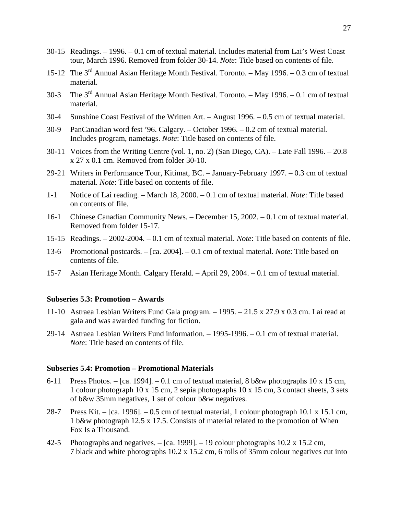- 30-15 Readings. 1996. 0.1 cm of textual material. Includes material from Lai's West Coast tour, March 1996. Removed from folder 30-14. *Note*: Title based on contents of file.
- 15-12 The  $3<sup>rd</sup>$  Annual Asian Heritage Month Festival. Toronto. May 1996. 0.3 cm of textual material.
- 30-3 The  $3<sup>rd</sup>$  Annual Asian Heritage Month Festival. Toronto. May 1996. 0.1 cm of textual material.
- 30-4 Sunshine Coast Festival of the Written Art. August 1996. 0.5 cm of textual material.
- 30-9 PanCanadian word fest '96. Calgary. October 1996. 0.2 cm of textual material. Includes program, nametags. *Note*: Title based on contents of file.
- 30-11 Voices from the Writing Centre (vol. 1, no. 2) (San Diego, CA). Late Fall 1996. 20.8 x 27 x 0.1 cm. Removed from folder 30-10.
- 29-21 Writers in Performance Tour, Kitimat, BC. January-February 1997. 0.3 cm of textual material. *Note*: Title based on contents of file.
- 1-1 Notice of Lai reading. March 18, 2000. 0.1 cm of textual material. *Note*: Title based on contents of file.
- 16-1 Chinese Canadian Community News. December 15, 2002. 0.1 cm of textual material. Removed from folder 15-17.
- 15-15 Readings. 2002-2004. 0.1 cm of textual material. *Note*: Title based on contents of file.
- 13-6 Promotional postcards. [ca. 2004]. 0.1 cm of textual material. *Note*: Title based on contents of file.
- 15-7 Asian Heritage Month. Calgary Herald. April 29, 2004. 0.1 cm of textual material.

#### **Subseries 5.3: Promotion – Awards**

- 11-10 Astraea Lesbian Writers Fund Gala program. 1995. 21.5 x 27.9 x 0.3 cm. Lai read at gala and was awarded funding for fiction.
- 29-14 Astraea Lesbian Writers Fund information. 1995-1996. 0.1 cm of textual material. *Note*: Title based on contents of file.

#### **Subseries 5.4: Promotion – Promotional Materials**

- 6-11 Press Photos. [ca. 1994]. 0.1 cm of textual material, 8 b&w photographs 10 x 15 cm, 1 colour photograph 10 x 15 cm, 2 sepia photographs 10 x 15 cm, 3 contact sheets, 3 sets of b&w 35mm negatives, 1 set of colour b&w negatives.
- 28-7 Press Kit. [ca. 1996]. 0.5 cm of textual material, 1 colour photograph 10.1 x 15.1 cm, 1 b&w photograph 12.5 x 17.5. Consists of material related to the promotion of When Fox Is a Thousand.
- 42-5 Photographs and negatives. [ca. 1999]. 19 colour photographs 10.2 x 15.2 cm, 7 black and white photographs 10.2 x 15.2 cm, 6 rolls of 35mm colour negatives cut into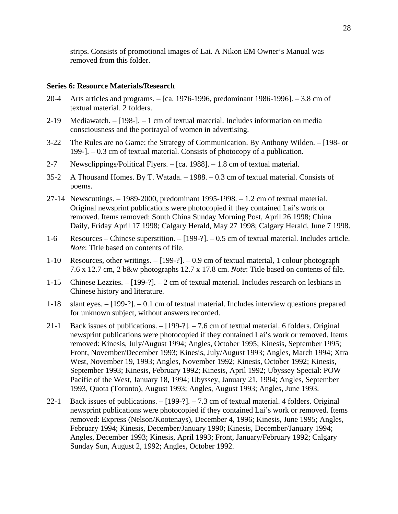strips. Consists of promotional images of Lai. A Nikon EM Owner's Manual was removed from this folder.

#### **Series 6: Resource Materials/Research**

- 20-4 Arts articles and programs. [ca. 1976-1996, predominant 1986-1996]. 3.8 cm of textual material. 2 folders.
- 2-19 Mediawatch. [198-]. 1 cm of textual material. Includes information on media consciousness and the portrayal of women in advertising.
- 3-22 The Rules are no Game: the Strategy of Communication. By Anthony Wilden. [198- or 199-]. – 0.3 cm of textual material. Consists of photocopy of a publication.
- 2-7 Newsclippings/Political Flyers. [ca. 1988]. 1.8 cm of textual material.
- 35-2 A Thousand Homes. By T. Watada. 1988. 0.3 cm of textual material. Consists of poems.
- 27-14 Newscuttings. 1989-2000, predominant 1995-1998. 1.2 cm of textual material. Original newsprint publications were photocopied if they contained Lai's work or removed. Items removed: South China Sunday Morning Post, April 26 1998; China Daily, Friday April 17 1998; Calgary Herald, May 27 1998; Calgary Herald, June 7 1998.
- 1-6 Resources Chinese superstition. [199-?]. 0.5 cm of textual material. Includes article. *Note*: Title based on contents of file.
- 1-10 Resources, other writings. [199-?]. 0.9 cm of textual material, 1 colour photograph 7.6 x 12.7 cm, 2 b&w photographs 12.7 x 17.8 cm. *Note*: Title based on contents of file.
- 1-15 Chinese Lezzies. [199-?]. 2 cm of textual material. Includes research on lesbians in Chinese history and literature.
- 1-18 slant eyes. [199-?]. 0.1 cm of textual material. Includes interview questions prepared for unknown subject, without answers recorded.
- 21-1 Back issues of publications. [199-?]. 7.6 cm of textual material. 6 folders. Original newsprint publications were photocopied if they contained Lai's work or removed. Items removed: Kinesis, July/August 1994; Angles, October 1995; Kinesis, September 1995; Front, November/December 1993; Kinesis, July/August 1993; Angles, March 1994; Xtra West, November 19, 1993; Angles, November 1992; Kinesis, October 1992; Kinesis, September 1993; Kinesis, February 1992; Kinesis, April 1992; Ubyssey Special: POW Pacific of the West, January 18, 1994; Ubyssey, January 21, 1994; Angles, September 1993, Quota (Toronto), August 1993; Angles, August 1993; Angles, June 1993.
- 22-1 Back issues of publications. [199-?]. 7.3 cm of textual material. 4 folders. Original newsprint publications were photocopied if they contained Lai's work or removed. Items removed: Express (Nelson/Kootenays), December 4, 1996; Kinesis, June 1995; Angles, February 1994; Kinesis, December/January 1990; Kinesis, December/January 1994; Angles, December 1993; Kinesis, April 1993; Front, January/February 1992; Calgary Sunday Sun, August 2, 1992; Angles, October 1992.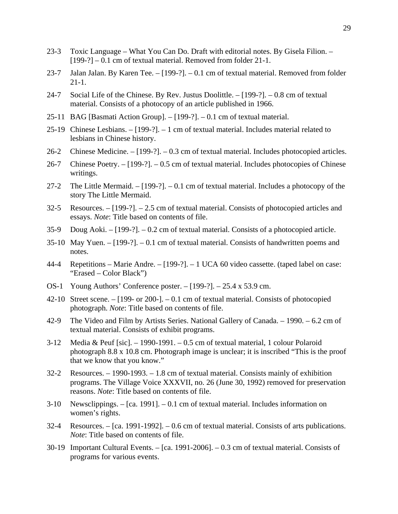- 23-3 Toxic Language What You Can Do. Draft with editorial notes. By Gisela Filion. [199-?] – 0.1 cm of textual material. Removed from folder 21-1.
- 23-7 Jalan Jalan. By Karen Tee. [199-?]. 0.1 cm of textual material. Removed from folder 21-1.
- 24-7 Social Life of the Chinese. By Rev. Justus Doolittle.  $-$  [199-?].  $-$  0.8 cm of textual material. Consists of a photocopy of an article published in 1966.
- 25-11 BAG [Basmati Action Group]. [199-?]. 0.1 cm of textual material.
- 25-19 Chinese Lesbians. [199-?]. 1 cm of textual material. Includes material related to lesbians in Chinese history.
- 26-2 Chinese Medicine. [199-?]. 0.3 cm of textual material. Includes photocopied articles.
- 26-7 Chinese Poetry. [199-?]. 0.5 cm of textual material. Includes photocopies of Chinese writings.
- 27-2 The Little Mermaid. [199-?]. 0.1 cm of textual material. Includes a photocopy of the story The Little Mermaid.
- 32-5 Resources. [199-?]. 2.5 cm of textual material. Consists of photocopied articles and essays. *Note*: Title based on contents of file.
- 35-9 Doug Aoki. [199-?]. 0.2 cm of textual material. Consists of a photocopied article.
- 35-10 May Yuen. [199-?]. 0.1 cm of textual material. Consists of handwritten poems and notes.
- 44-4 Repetitions Marie Andre. [199-?]. 1 UCA 60 video cassette. (taped label on case: "Erased – Color Black")
- OS-1 Young Authors' Conference poster. [199-?]. 25.4 x 53.9 cm.
- 42-10 Street scene. [199- or 200-]. 0.1 cm of textual material. Consists of photocopied photograph. *Note*: Title based on contents of file.
- 42-9 The Video and Film by Artists Series. National Gallery of Canada. 1990. 6.2 cm of textual material. Consists of exhibit programs.
- 3-12 Media & Peuf [sic]. 1990-1991. 0.5 cm of textual material, 1 colour Polaroid photograph 8.8 x 10.8 cm. Photograph image is unclear; it is inscribed "This is the proof that we know that you know."
- 32-2 Resources. 1990-1993. 1.8 cm of textual material. Consists mainly of exhibition programs. The Village Voice XXXVII, no. 26 (June 30, 1992) removed for preservation reasons. *Note*: Title based on contents of file.
- 3-10 Newsclippings. [ca. 1991]. 0.1 cm of textual material. Includes information on women's rights.
- 32-4 Resources. [ca. 1991-1992]. 0.6 cm of textual material. Consists of arts publications. *Note*: Title based on contents of file.
- 30-19 Important Cultural Events. [ca. 1991-2006]. 0.3 cm of textual material. Consists of programs for various events.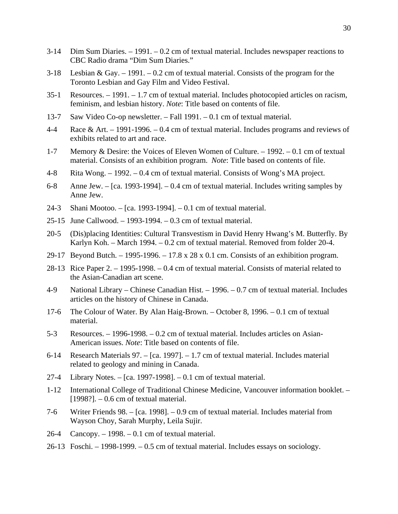- 3-14 Dim Sum Diaries. 1991. 0.2 cm of textual material. Includes newspaper reactions to CBC Radio drama "Dim Sum Diaries."
- 3-18 Lesbian & Gay. 1991. 0.2 cm of textual material. Consists of the program for the Toronto Lesbian and Gay Film and Video Festival.
- 35-1 Resources. 1991. 1.7 cm of textual material. Includes photocopied articles on racism, feminism, and lesbian history. *Note*: Title based on contents of file.
- 13-7 Saw Video Co-op newsletter. Fall 1991. 0.1 cm of textual material.
- 4-4 Race & Art. 1991-1996. 0.4 cm of textual material. Includes programs and reviews of exhibits related to art and race.
- 1-7 Memory & Desire: the Voices of Eleven Women of Culture. 1992. 0.1 cm of textual material. Consists of an exhibition program. *Note*: Title based on contents of file.
- 4-8 Rita Wong. 1992. 0.4 cm of textual material. Consists of Wong's MA project.
- 6-8 Anne Jew. [ca. 1993-1994]. 0.4 cm of textual material. Includes writing samples by Anne Jew.
- 24-3 Shani Mootoo. [ca. 1993-1994]. 0.1 cm of textual material.
- 25-15 June Callwood. 1993-1994. 0.3 cm of textual material.
- 20-5 (Dis)placing Identities: Cultural Transvestism in David Henry Hwang's M. Butterfly. By Karlyn Koh. – March 1994. – 0.2 cm of textual material. Removed from folder 20-4.
- 29-17 Beyond Butch. 1995-1996. 17.8 x 28 x 0.1 cm. Consists of an exhibition program.
- 28-13 Rice Paper 2. 1995-1998. 0.4 cm of textual material. Consists of material related to the Asian-Canadian art scene.
- 4-9 National Library Chinese Canadian Hist. 1996. 0.7 cm of textual material. Includes articles on the history of Chinese in Canada.
- 17-6 The Colour of Water. By Alan Haig-Brown. October 8, 1996. 0.1 cm of textual material.
- 5-3 Resources. 1996-1998. 0.2 cm of textual material. Includes articles on Asian-American issues. *Note*: Title based on contents of file.
- 6-14 Research Materials 97. [ca. 1997]. 1.7 cm of textual material. Includes material related to geology and mining in Canada.
- 27-4 Library Notes. [ca. 1997-1998]. 0.1 cm of textual material.
- 1-12 International College of Traditional Chinese Medicine, Vancouver information booklet. [1998?]. – 0.6 cm of textual material.
- 7-6 Writer Friends 98. [ca. 1998]. 0.9 cm of textual material. Includes material from Wayson Choy, Sarah Murphy, Leila Sujir.
- 26-4 Cancopy. 1998. 0.1 cm of textual material.
- 26-13 Foschi. 1998-1999. 0.5 cm of textual material. Includes essays on sociology.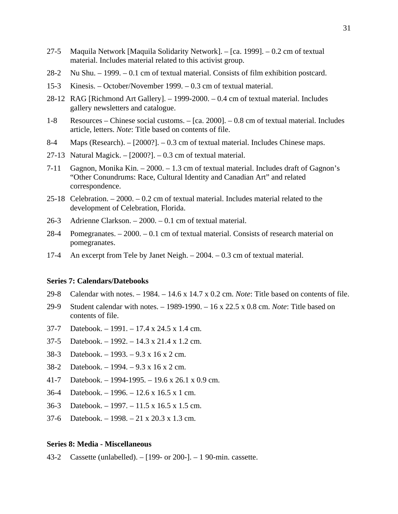- 27-5 Maquila Network [Maquila Solidarity Network]. [ca. 1999]. 0.2 cm of textual material. Includes material related to this activist group.
- 28-2 Nu Shu. 1999. 0.1 cm of textual material. Consists of film exhibition postcard.
- 15-3 Kinesis. October/November 1999. 0.3 cm of textual material.
- 28-12 RAG [Richmond Art Gallery]. 1999-2000. 0.4 cm of textual material. Includes gallery newsletters and catalogue.
- 1-8 Resources Chinese social customs. [ca. 2000]. 0.8 cm of textual material. Includes article, letters. *Note*: Title based on contents of file.
- 8-4 Maps (Research). [2000?]. 0.3 cm of textual material. Includes Chinese maps.
- 27-13 Natural Magick. [2000?]. 0.3 cm of textual material.
- 7-11 Gagnon, Monika Kin. 2000. 1.3 cm of textual material. Includes draft of Gagnon's "Other Conundrums: Race, Cultural Identity and Canadian Art" and related correspondence.
- 25-18 Celebration. 2000. 0.2 cm of textual material. Includes material related to the development of Celebration, Florida.
- 26-3 Adrienne Clarkson. 2000. 0.1 cm of textual material.
- 28-4 Pomegranates. 2000. 0.1 cm of textual material. Consists of research material on pomegranates.
- 17-4 An excerpt from Tele by Janet Neigh. 2004. 0.3 cm of textual material.

#### **Series 7: Calendars/Datebooks**

- 29-8 Calendar with notes. 1984. 14.6 x 14.7 x 0.2 cm. *Note*: Title based on contents of file.
- 29-9 Student calendar with notes. 1989-1990. 16 x 22.5 x 0.8 cm. *Note*: Title based on contents of file.
- 37-7 Datebook. 1991. 17.4 x 24.5 x 1.4 cm.
- 37-5 Datebook. 1992. 14.3 x 21.4 x 1.2 cm.
- 38-3 Datebook. 1993. 9.3 x 16 x 2 cm.
- 38-2 Datebook. 1994. 9.3 x 16 x 2 cm.
- 41-7 Datebook. 1994-1995. 19.6 x 26.1 x 0.9 cm.
- 36-4 Datebook. 1996. 12.6 x 16.5 x 1 cm.
- 36-3 Datebook. 1997. 11.5 x 16.5 x 1.5 cm.
- 37-6 Datebook. 1998. 21 x 20.3 x 1.3 cm.

#### **Series 8: Media - Miscellaneous**

43-2 Cassette (unlabelled). – [199- or 200-]. – 1 90-min. cassette.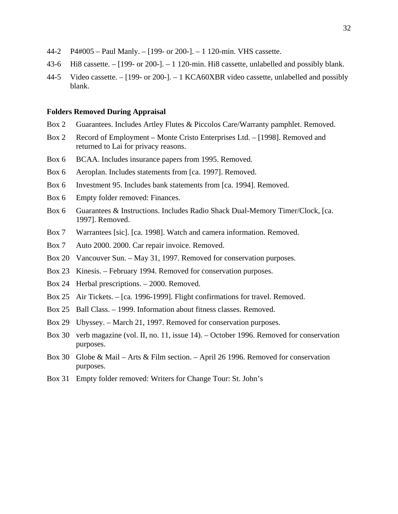- 44-2 P4#005 Paul Manly. [199- or 200-]. 1 120-min. VHS cassette.
- 43-6 Hi8 cassette. [199- or 200-]. 1 120-min. Hi8 cassette, unlabelled and possibly blank.
- 44-5 Video cassette. [199- or 200-]. 1 KCA60XBR video cassette, unlabelled and possibly blank.

#### **Folders Removed During Appraisal**

- Box 2 Guarantees. Includes Artley Flutes & Piccolos Care/Warranty pamphlet. Removed.
- Box 2 Record of Employment Monte Cristo Enterprises Ltd. [1998]. Removed and returned to Lai for privacy reasons.
- Box 6 BCAA. Includes insurance papers from 1995. Removed.
- Box 6 Aeroplan. Includes statements from [ca. 1997]. Removed.
- Box 6 Investment 95. Includes bank statements from [ca. 1994]. Removed.
- Box 6 Empty folder removed: Finances.
- Box 6 Guarantees & Instructions. Includes Radio Shack Dual-Memory Timer/Clock, [ca. 1997]. Removed.
- Box 7 Warrantees [sic]. [ca. 1998]. Watch and camera information. Removed.
- Box 7 Auto 2000. 2000. Car repair invoice. Removed.
- Box 20 Vancouver Sun. May 31, 1997. Removed for conservation purposes.
- Box 23 Kinesis. February 1994. Removed for conservation purposes.
- Box 24 Herbal prescriptions. 2000. Removed.
- Box 25 Air Tickets. [ca. 1996-1999]. Flight confirmations for travel. Removed.
- Box 25 Ball Class. 1999. Information about fitness classes. Removed.
- Box 29 Ubyssey. March 21, 1997. Removed for conservation purposes.
- Box 30 verb magazine (vol. II, no. 11, issue 14). October 1996. Removed for conservation purposes.
- Box 30 Globe & Mail Arts & Film section. April 26 1996. Removed for conservation purposes.
- Box 31 Empty folder removed: Writers for Change Tour: St. John's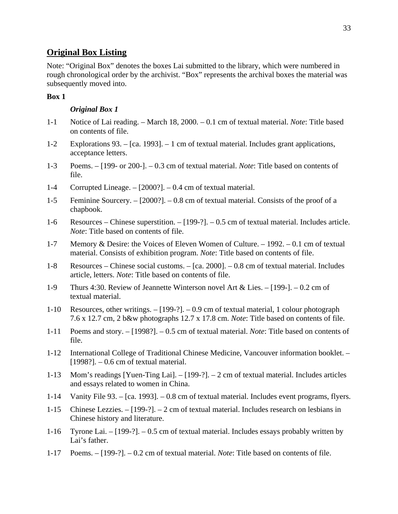# **Original Box Listing**

Note: "Original Box" denotes the boxes Lai submitted to the library, which were numbered in rough chronological order by the archivist. "Box" represents the archival boxes the material was subsequently moved into.

# **Box 1**

# *Original Box 1*

- 1-1 Notice of Lai reading. March 18, 2000. 0.1 cm of textual material. *Note*: Title based on contents of file.
- 1-2 Explorations 93. [ca. 1993]. 1 cm of textual material. Includes grant applications, acceptance letters.
- 1-3 Poems. [199- or 200-]. 0.3 cm of textual material. *Note*: Title based on contents of file.
- 1-4 Corrupted Lineage. [2000?]. 0.4 cm of textual material.
- 1-5 Feminine Sourcery. [2000?]. 0.8 cm of textual material. Consists of the proof of a chapbook.
- 1-6 Resources Chinese superstition. [199-?]. 0.5 cm of textual material. Includes article. *Note*: Title based on contents of file.
- 1-7 Memory & Desire: the Voices of Eleven Women of Culture. 1992. 0.1 cm of textual material. Consists of exhibition program. *Note*: Title based on contents of file.
- 1-8 Resources Chinese social customs. [ca. 2000]. 0.8 cm of textual material. Includes article, letters. *Note*: Title based on contents of file.
- 1-9 Thurs 4:30. Review of Jeannette Winterson novel Art & Lies. [199-]. 0.2 cm of textual material.
- 1-10 Resources, other writings. [199-?]. 0.9 cm of textual material, 1 colour photograph 7.6 x 12.7 cm, 2 b&w photographs 12.7 x 17.8 cm. *Note*: Title based on contents of file.
- 1-11 Poems and story. [1998?]. 0.5 cm of textual material. *Note*: Title based on contents of file.
- 1-12 International College of Traditional Chinese Medicine, Vancouver information booklet.  $[1998?]$ . – 0.6 cm of textual material.
- 1-13 Mom's readings [Yuen-Ting Lai]. [199-?]. 2 cm of textual material. Includes articles and essays related to women in China.
- 1-14 Vanity File 93. [ca. 1993]. 0.8 cm of textual material. Includes event programs, flyers.
- 1-15 Chinese Lezzies. [199-?]. 2 cm of textual material. Includes research on lesbians in Chinese history and literature.
- 1-16 Tyrone Lai. [199-?]. 0.5 cm of textual material. Includes essays probably written by Lai's father.
- 1-17 Poems. [199-?]. 0.2 cm of textual material. *Note*: Title based on contents of file.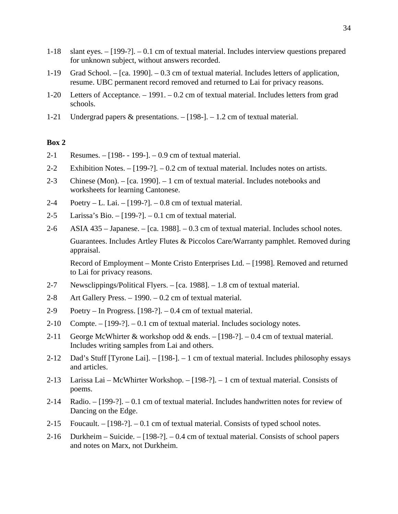- 1-18 slant eyes. [199-?]. 0.1 cm of textual material. Includes interview questions prepared for unknown subject, without answers recorded.
- 1-19 Grad School. [ca. 1990]. 0.3 cm of textual material. Includes letters of application, resume. UBC permanent record removed and returned to Lai for privacy reasons.
- 1-20 Letters of Acceptance. 1991. 0.2 cm of textual material. Includes letters from grad schools.
- 1-21 Undergrad papers & presentations. [198-]. 1.2 cm of textual material.

- 2-1 Resumes. [198- 199-]. 0.9 cm of textual material.
- 2-2 Exhibition Notes. [199-?]. 0.2 cm of textual material. Includes notes on artists.
- 2-3 Chinese (Mon). [ca. 1990]. 1 cm of textual material. Includes notebooks and worksheets for learning Cantonese.
- 2-4 Poetry L. Lai. [199-?]. 0.8 cm of textual material.
- 2-5 Larissa's Bio. [199-?]. 0.1 cm of textual material.
- 2-6 ASIA 435 Japanese. [ca. 1988]. 0.3 cm of textual material. Includes school notes. Guarantees. Includes Artley Flutes & Piccolos Care/Warranty pamphlet. Removed during appraisal.

 Record of Employment – Monte Cristo Enterprises Ltd. – [1998]. Removed and returned to Lai for privacy reasons.

- 2-7 Newsclippings/Political Flyers. [ca. 1988]. 1.8 cm of textual material.
- 2-8 Art Gallery Press. 1990. 0.2 cm of textual material.
- 2-9 Poetry In Progress. [198-?]. 0.4 cm of textual material.
- $2-10$  Compte.  $-[199-?]$ .  $-0.1$  cm of textual material. Includes sociology notes.
- 2-11 George McWhirter & workshop odd & ends. [198-?]. 0.4 cm of textual material. Includes writing samples from Lai and others.
- 2-12 Dad's Stuff [Tyrone Lai]. [198-]. 1 cm of textual material. Includes philosophy essays and articles.
- 2-13 Larissa Lai McWhirter Workshop. [198-?]. 1 cm of textual material. Consists of poems.
- 2-14 Radio. [199-?]. 0.1 cm of textual material. Includes handwritten notes for review of Dancing on the Edge.
- 2-15 Foucault.  $-[198-?] 0.1$  cm of textual material. Consists of typed school notes.
- 2-16 Durkheim Suicide. [198-?]. 0.4 cm of textual material. Consists of school papers and notes on Marx, not Durkheim.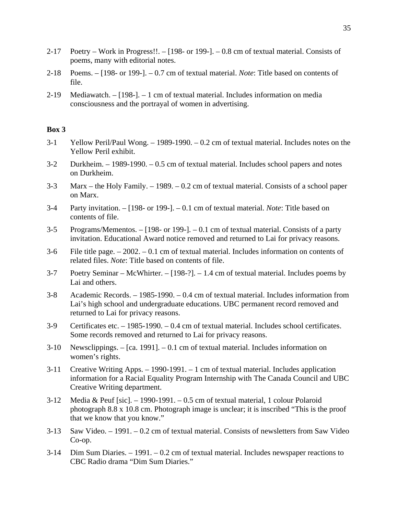- 2-17 Poetry Work in Progress!!. [198- or 199-]. 0.8 cm of textual material. Consists of poems, many with editorial notes.
- 2-18 Poems. [198- or 199-]. 0.7 cm of textual material. *Note*: Title based on contents of file.
- 2-19 Mediawatch. [198-]. 1 cm of textual material. Includes information on media consciousness and the portrayal of women in advertising.

- 3-1 Yellow Peril/Paul Wong. 1989-1990. 0.2 cm of textual material. Includes notes on the Yellow Peril exhibit.
- 3-2 Durkheim. 1989-1990. 0.5 cm of textual material. Includes school papers and notes on Durkheim.
- 3-3 Marx the Holy Family. 1989. 0.2 cm of textual material. Consists of a school paper on Marx.
- 3-4 Party invitation. [198- or 199-]. 0.1 cm of textual material. *Note*: Title based on contents of file.
- 3-5 Programs/Mementos. [198- or 199-]. 0.1 cm of textual material. Consists of a party invitation. Educational Award notice removed and returned to Lai for privacy reasons.
- 3-6 File title page. 2002. 0.1 cm of textual material. Includes information on contents of related files. *Note*: Title based on contents of file.
- 3-7 Poetry Seminar McWhirter. [198-?]. 1.4 cm of textual material. Includes poems by Lai and others.
- 3-8 Academic Records. 1985-1990. 0.4 cm of textual material. Includes information from Lai's high school and undergraduate educations. UBC permanent record removed and returned to Lai for privacy reasons.
- 3-9 Certificates etc. 1985-1990. 0.4 cm of textual material. Includes school certificates. Some records removed and returned to Lai for privacy reasons.
- 3-10 Newsclippings. [ca. 1991]. 0.1 cm of textual material. Includes information on women's rights.
- 3-11 Creative Writing Apps. 1990-1991. 1 cm of textual material. Includes application information for a Racial Equality Program Internship with The Canada Council and UBC Creative Writing department.
- 3-12 Media & Peuf [sic]. 1990-1991. 0.5 cm of textual material, 1 colour Polaroid photograph 8.8 x 10.8 cm. Photograph image is unclear; it is inscribed "This is the proof that we know that you know."
- 3-13 Saw Video. 1991. 0.2 cm of textual material. Consists of newsletters from Saw Video Co-op.
- 3-14 Dim Sum Diaries. 1991. 0.2 cm of textual material. Includes newspaper reactions to CBC Radio drama "Dim Sum Diaries."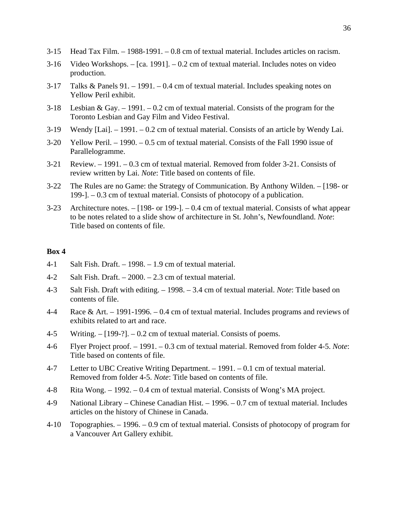- 3-15 Head Tax Film. 1988-1991. 0.8 cm of textual material. Includes articles on racism.
- 3-16 Video Workshops. [ca. 1991]. 0.2 cm of textual material. Includes notes on video production.
- 3-17 Talks & Panels 91. 1991. 0.4 cm of textual material. Includes speaking notes on Yellow Peril exhibit.
- 3-18 Lesbian & Gay. 1991. 0.2 cm of textual material. Consists of the program for the Toronto Lesbian and Gay Film and Video Festival.
- 3-19 Wendy [Lai]. 1991. 0.2 cm of textual material. Consists of an article by Wendy Lai.
- 3-20 Yellow Peril. 1990. 0.5 cm of textual material. Consists of the Fall 1990 issue of Parallelogramme.
- 3-21 Review. 1991. 0.3 cm of textual material. Removed from folder 3-21. Consists of review written by Lai. *Note*: Title based on contents of file.
- 3-22 The Rules are no Game: the Strategy of Communication. By Anthony Wilden. [198- or 199-]. – 0.3 cm of textual material. Consists of photocopy of a publication.
- 3-23 Architecture notes. [198- or 199-]. 0.4 cm of textual material. Consists of what appear to be notes related to a slide show of architecture in St. John's, Newfoundland. *Note*: Title based on contents of file.

- 4-1 Salt Fish. Draft. 1998. 1.9 cm of textual material.
- 4-2 Salt Fish. Draft. 2000. 2.3 cm of textual material.
- 4-3 Salt Fish. Draft with editing. 1998. 3.4 cm of textual material. *Note*: Title based on contents of file.
- 4-4 Race & Art. 1991-1996. 0.4 cm of textual material. Includes programs and reviews of exhibits related to art and race.
- 4-5 Writing. [199-?]. 0.2 cm of textual material. Consists of poems.
- 4-6 Flyer Project proof. 1991. 0.3 cm of textual material. Removed from folder 4-5. *Note*: Title based on contents of file.
- 4-7 Letter to UBC Creative Writing Department. 1991. 0.1 cm of textual material. Removed from folder 4-5. *Note*: Title based on contents of file.
- 4-8 Rita Wong. 1992. 0.4 cm of textual material. Consists of Wong's MA project.
- 4-9 National Library Chinese Canadian Hist. 1996. 0.7 cm of textual material. Includes articles on the history of Chinese in Canada.
- 4-10 Topographies. 1996. 0.9 cm of textual material. Consists of photocopy of program for a Vancouver Art Gallery exhibit.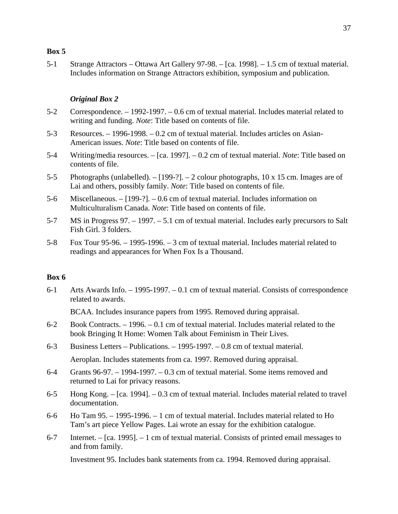5-1 Strange Attractors – Ottawa Art Gallery 97-98. – [ca. 1998]. – 1.5 cm of textual material. Includes information on Strange Attractors exhibition, symposium and publication.

# *Original Box 2*

- 5-2 Correspondence. 1992-1997. 0.6 cm of textual material. Includes material related to writing and funding. *Note*: Title based on contents of file.
- 5-3 Resources. 1996-1998. 0.2 cm of textual material. Includes articles on Asian-American issues. *Note*: Title based on contents of file.
- 5-4 Writing/media resources. [ca. 1997]. 0.2 cm of textual material. *Note*: Title based on contents of file.
- 5-5 Photographs (unlabelled). [199-?]. 2 colour photographs, 10 x 15 cm. Images are of Lai and others, possibly family. *Note*: Title based on contents of file.
- 5-6 Miscellaneous. [199-?]. 0.6 cm of textual material. Includes information on Multiculturalism Canada. *Note*: Title based on contents of file.
- 5-7 MS in Progress 97. 1997. 5.1 cm of textual material. Includes early precursors to Salt Fish Girl. 3 folders.
- 5-8 Fox Tour 95-96. 1995-1996. 3 cm of textual material. Includes material related to readings and appearances for When Fox Is a Thousand.

# **Box 6**

6-1 Arts Awards Info. – 1995-1997. – 0.1 cm of textual material. Consists of correspondence related to awards.

BCAA. Includes insurance papers from 1995. Removed during appraisal.

- 6-2 Book Contracts. 1996. 0.1 cm of textual material. Includes material related to the book Bringing It Home: Women Talk about Feminism in Their Lives.
- 6-3 Business Letters Publications. 1995-1997. 0.8 cm of textual material. Aeroplan. Includes statements from ca. 1997. Removed during appraisal.
- 6-4 Grants 96-97. 1994-1997. 0.3 cm of textual material. Some items removed and returned to Lai for privacy reasons.
- 6-5 Hong Kong. [ca. 1994]. 0.3 cm of textual material. Includes material related to travel documentation.
- 6-6 Ho Tam 95. 1995-1996. 1 cm of textual material. Includes material related to Ho Tam's art piece Yellow Pages. Lai wrote an essay for the exhibition catalogue.
- 6-7 Internet. [ca. 1995]. 1 cm of textual material. Consists of printed email messages to and from family.

Investment 95. Includes bank statements from ca. 1994. Removed during appraisal.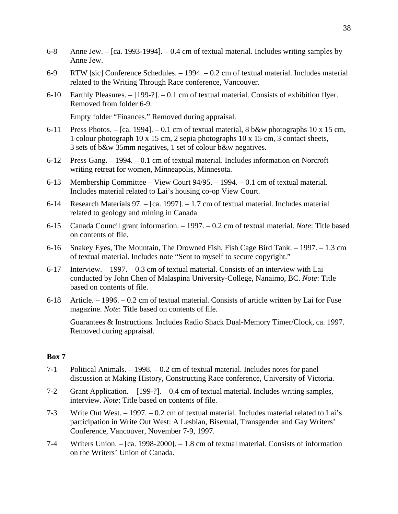- 6-8 Anne Jew. [ca. 1993-1994]. 0.4 cm of textual material. Includes writing samples by Anne Jew.
- 6-9 RTW [sic] Conference Schedules. 1994. 0.2 cm of textual material. Includes material related to the Writing Through Race conference, Vancouver.
- 6-10 Earthly Pleasures. [199-?]. 0.1 cm of textual material. Consists of exhibition flyer. Removed from folder 6-9.

Empty folder "Finances." Removed during appraisal.

- 6-11 Press Photos. [ca. 1994]. 0.1 cm of textual material,  $8 \text{ b\&w}$  photographs 10 x 15 cm, 1 colour photograph 10 x 15 cm, 2 sepia photographs 10 x 15 cm, 3 contact sheets, 3 sets of b&w 35mm negatives, 1 set of colour b&w negatives.
- 6-12 Press Gang. 1994. 0.1 cm of textual material. Includes information on Norcroft writing retreat for women, Minneapolis, Minnesota.
- 6-13 Membership Committee View Court 94/95. 1994. 0.1 cm of textual material. Includes material related to Lai's housing co-op View Court.
- 6-14 Research Materials 97. [ca. 1997]. 1.7 cm of textual material. Includes material related to geology and mining in Canada
- 6-15 Canada Council grant information. 1997. 0.2 cm of textual material. *Note*: Title based on contents of file.
- 6-16 Snakey Eyes, The Mountain, The Drowned Fish, Fish Cage Bird Tank. 1997. 1.3 cm of textual material. Includes note "Sent to myself to secure copyright."
- 6-17 Interview. 1997. 0.3 cm of textual material. Consists of an interview with Lai conducted by John Chen of Malaspina University-College, Nanaimo, BC. *Note*: Title based on contents of file.
- 6-18 Article. 1996. 0.2 cm of textual material. Consists of article written by Lai for Fuse magazine. *Note*: Title based on contents of file.

 Guarantees & Instructions. Includes Radio Shack Dual-Memory Timer/Clock, ca. 1997. Removed during appraisal.

- 7-1 Political Animals. 1998. 0.2 cm of textual material. Includes notes for panel discussion at Making History, Constructing Race conference, University of Victoria.
- 7-2 Grant Application. [199-?]. 0.4 cm of textual material. Includes writing samples, interview. *Note*: Title based on contents of file.
- 7-3 Write Out West. 1997. 0.2 cm of textual material. Includes material related to Lai's participation in Write Out West: A Lesbian, Bisexual, Transgender and Gay Writers' Conference, Vancouver, November 7-9, 1997.
- 7-4 Writers Union. [ca. 1998-2000]. 1.8 cm of textual material. Consists of information on the Writers' Union of Canada.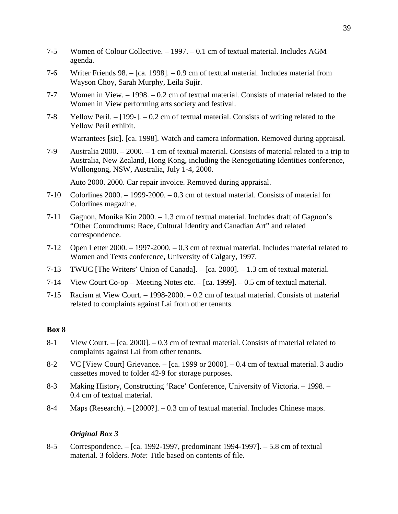- 7-5 Women of Colour Collective. 1997. 0.1 cm of textual material. Includes AGM agenda.
- 7-6 Writer Friends 98. [ca. 1998]. 0.9 cm of textual material. Includes material from Wayson Choy, Sarah Murphy, Leila Sujir.
- 7-7 Women in View. 1998. 0.2 cm of textual material. Consists of material related to the Women in View performing arts society and festival.
- 7-8 Yellow Peril. [199-]. 0.2 cm of textual material. Consists of writing related to the Yellow Peril exhibit.

Warrantees [sic]. [ca. 1998]. Watch and camera information. Removed during appraisal.

7-9 Australia 2000. – 2000. – 1 cm of textual material. Consists of material related to a trip to Australia, New Zealand, Hong Kong, including the Renegotiating Identities conference, Wollongong, NSW, Australia, July 1-4, 2000.

Auto 2000. 2000. Car repair invoice. Removed during appraisal.

- 7-10 Colorlines 2000. 1999-2000. 0.3 cm of textual material. Consists of material for Colorlines magazine.
- 7-11 Gagnon, Monika Kin 2000. 1.3 cm of textual material. Includes draft of Gagnon's "Other Conundrums: Race, Cultural Identity and Canadian Art" and related correspondence.
- 7-12 Open Letter 2000. 1997-2000. 0.3 cm of textual material. Includes material related to Women and Texts conference, University of Calgary, 1997.
- 7-13 TWUC [The Writers' Union of Canada]. [ca. 2000]. 1.3 cm of textual material.
- 7-14 View Court Co-op Meeting Notes etc. [ca. 1999]. 0.5 cm of textual material.
- 7-15 Racism at View Court. 1998-2000. 0.2 cm of textual material. Consists of material related to complaints against Lai from other tenants.

# **Box 8**

- 8-1 View Court. [ca. 2000]. 0.3 cm of textual material. Consists of material related to complaints against Lai from other tenants.
- 8-2 VC [View Court] Grievance. [ca. 1999 or 2000]. 0.4 cm of textual material. 3 audio cassettes moved to folder 42-9 for storage purposes.
- 8-3 Making History, Constructing 'Race' Conference, University of Victoria. 1998. 0.4 cm of textual material.
- 8-4 Maps (Research). [2000?]. 0.3 cm of textual material. Includes Chinese maps.

# *Original Box 3*

8-5 Correspondence. – [ca. 1992-1997, predominant 1994-1997]. – 5.8 cm of textual material. 3 folders. *Note*: Title based on contents of file.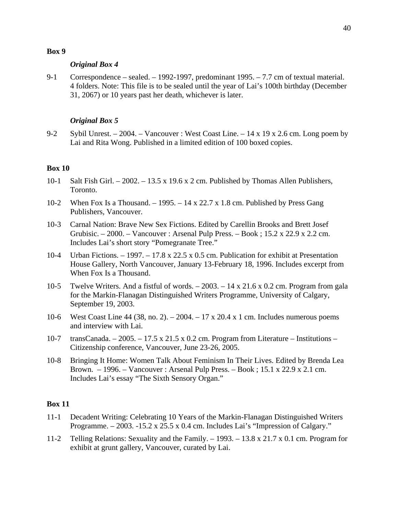## *Original Box 4*

9-1 Correspondence – sealed. – 1992-1997, predominant 1995. – 7.7 cm of textual material. 4 folders. Note: This file is to be sealed until the year of Lai's 100th birthday (December 31, 2067) or 10 years past her death, whichever is later.

# *Original Box 5*

9-2 Sybil Unrest. – 2004. – Vancouver : West Coast Line. – 14 x 19 x 2.6 cm. Long poem by Lai and Rita Wong. Published in a limited edition of 100 boxed copies.

# **Box 10**

- 10-1 Salt Fish Girl. 2002. 13.5 x 19.6 x 2 cm. Published by Thomas Allen Publishers, Toronto.
- 10-2 When Fox Is a Thousand. 1995. 14 x 22.7 x 1.8 cm. Published by Press Gang Publishers, Vancouver.
- 10-3 Carnal Nation: Brave New Sex Fictions. Edited by Carellin Brooks and Brett Josef Grubisic. – 2000. – Vancouver : Arsenal Pulp Press. – Book ; 15.2 x 22.9 x 2.2 cm. Includes Lai's short story "Pomegranate Tree."
- 10-4 Urban Fictions. 1997. 17.8 x 22.5 x 0.5 cm. Publication for exhibit at Presentation House Gallery, North Vancouver, January 13-February 18, 1996. Includes excerpt from When Fox Is a Thousand.
- 10-5 Twelve Writers. And a fistful of words. 2003. 14 x 21.6 x 0.2 cm. Program from gala for the Markin-Flanagan Distinguished Writers Programme, University of Calgary, September 19, 2003.
- 10-6 West Coast Line 44 (38, no. 2). 2004. 17 x 20.4 x 1 cm. Includes numerous poems and interview with Lai.
- 10-7 transCanada. 2005. 17.5 x 21.5 x 0.2 cm. Program from Literature Institutions Citizenship conference, Vancouver, June 23-26, 2005.
- 10-8 Bringing It Home: Women Talk About Feminism In Their Lives. Edited by Brenda Lea Brown. – 1996. – Vancouver : Arsenal Pulp Press. – Book ; 15.1 x 22.9 x 2.1 cm. Includes Lai's essay "The Sixth Sensory Organ."

- 11-1 Decadent Writing: Celebrating 10 Years of the Markin-Flanagan Distinguished Writers Programme. – 2003. -15.2 x 25.5 x 0.4 cm. Includes Lai's "Impression of Calgary."
- 11-2 Telling Relations: Sexuality and the Family. 1993. 13.8 x 21.7 x 0.1 cm. Program for exhibit at grunt gallery, Vancouver, curated by Lai.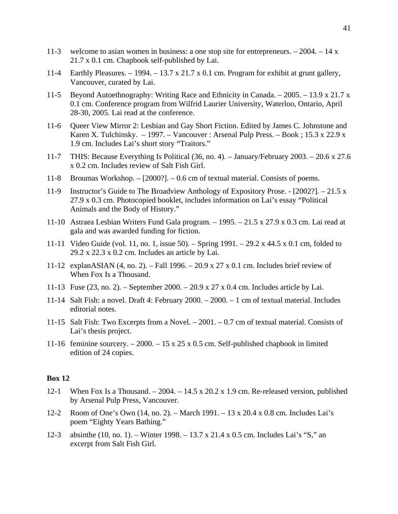- 11-3 welcome to asian women in business: a one stop site for entrepreneurs.  $-2004$ .  $-14 \text{ x}$ 21.7 x 0.1 cm. Chapbook self-published by Lai.
- 11-4 Earthly Pleasures.  $-1994. -13.7 \times 21.7 \times 0.1 \text{ cm}$ . Program for exhibit at grunt gallery, Vancouver, curated by Lai.
- 11-5 Beyond Autoethnography: Writing Race and Ethnicity in Canada. 2005. 13.9 x 21.7 x 0.1 cm. Conference program from Wilfrid Laurier University, Waterloo, Ontario, April 28-30, 2005. Lai read at the conference.
- 11-6 Queer View Mirror 2: Lesbian and Gay Short Fiction. Edited by James C. Johnstone and Karen X. Tulchinsky. – 1997. – Vancouver : Arsenal Pulp Press. – Book ; 15.3 x 22.9 x 1.9 cm. Includes Lai's short story "Traitors."
- 11-7 THIS: Because Everything Is Political (36, no. 4). January/February 2003. 20.6 x 27.6 x 0.2 cm. Includes review of Salt Fish Girl.
- 11-8 Broumas Workshop. [2000?]. 0.6 cm of textual material. Consists of poems.
- 11-9 Instructor's Guide to The Broadview Anthology of Expository Prose. [2002?]. 21.5 x 27.9 x 0.3 cm. Photocopied booklet, includes information on Lai's essay "Political Animals and the Body of History."
- 11-10 Astraea Lesbian Writers Fund Gala program. 1995. 21.5 x 27.9 x 0.3 cm. Lai read at gala and was awarded funding for fiction.
- 11-11 Video Guide (vol. 11, no. 1, issue 50). Spring 1991. 29.2 x 44.5 x 0.1 cm, folded to 29.2 x 22.3 x 0.2 cm. Includes an article by Lai.
- 11-12 explanASIAN (4, no. 2). Fall 1996. 20.9 x 27 x 0.1 cm. Includes brief review of When Fox Is a Thousand.
- 11-13 Fuse (23, no. 2). September 2000. 20.9 x 27 x 0.4 cm. Includes article by Lai.
- 11-14 Salt Fish: a novel. Draft 4: February 2000. 2000. 1 cm of textual material. Includes editorial notes.
- 11-15 Salt Fish: Two Excerpts from a Novel. 2001. 0.7 cm of textual material. Consists of Lai's thesis project.
- 11-16 feminine sourcery.  $-2000 15 \times 25 \times 0.5$  cm. Self-published chapbook in limited edition of 24 copies.

- 12-1 When Fox Is a Thousand. 2004. 14.5 x 20.2 x 1.9 cm. Re-released version, published by Arsenal Pulp Press, Vancouver.
- 12-2 Room of One's Own (14, no. 2). March 1991. 13 x 20.4 x 0.8 cm. Includes Lai's poem "Eighty Years Bathing."
- 12-3 absinthe (10, no. 1). Winter 1998. 13.7 x 21.4 x 0.5 cm. Includes Lai's "S," an excerpt from Salt Fish Girl.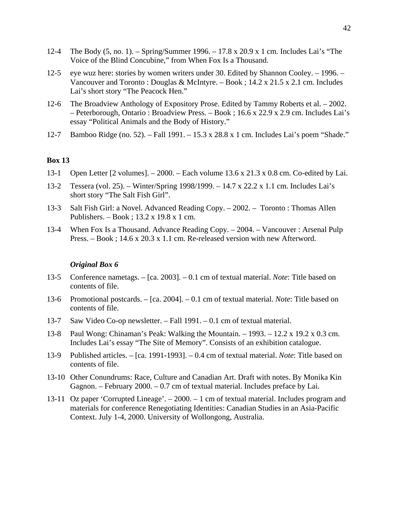- 12-4 The Body (5, no. 1). Spring/Summer 1996. 17.8 x 20.9 x 1 cm. Includes Lai's "The Voice of the Blind Concubine," from When Fox Is a Thousand.
- 12-5 eye wuz here: stories by women writers under 30. Edited by Shannon Cooley. 1996. Vancouver and Toronto : Douglas & McIntyre. – Book ; 14.2 x 21.5 x 2.1 cm. Includes Lai's short story "The Peacock Hen."
- 12-6 The Broadview Anthology of Expository Prose. Edited by Tammy Roberts et al. 2002. – Peterborough, Ontario : Broadview Press. – Book ; 16.6 x 22.9 x 2.9 cm. Includes Lai's essay "Political Animals and the Body of History."
- 12-7 Bamboo Ridge (no. 52). Fall 1991. 15.3 x 28.8 x 1 cm. Includes Lai's poem "Shade."

- 13-1 Open Letter [2 volumes]. 2000. Each volume 13.6 x 21.3 x 0.8 cm. Co-edited by Lai.
- 13-2 Tessera (vol. 25). Winter/Spring 1998/1999. 14.7 x 22.2 x 1.1 cm. Includes Lai's short story "The Salt Fish Girl".
- 13-3 Salt Fish Girl: a Novel. Advanced Reading Copy. 2002. Toronto : Thomas Allen Publishers. – Book ; 13.2 x 19.8 x 1 cm.
- 13-4 When Fox Is a Thousand. Advance Reading Copy. 2004. Vancouver : Arsenal Pulp Press. – Book ; 14.6 x 20.3 x 1.1 cm. Re-released version with new Afterword.

#### *Original Box 6*

- 13-5 Conference nametags. [ca. 2003]. 0.1 cm of textual material. *Note*: Title based on contents of file.
- 13-6 Promotional postcards. [ca. 2004]. 0.1 cm of textual material. *Note*: Title based on contents of file.
- 13-7 Saw Video Co-op newsletter. Fall 1991. 0.1 cm of textual material.
- 13-8 Paul Wong: Chinaman's Peak: Walking the Mountain. 1993. 12.2 x 19.2 x 0.3 cm. Includes Lai's essay "The Site of Memory". Consists of an exhibition catalogue.
- 13-9 Published articles. [ca. 1991-1993]. 0.4 cm of textual material. *Note*: Title based on contents of file.
- 13-10 Other Conundrums: Race, Culture and Canadian Art. Draft with notes. By Monika Kin Gagnon. – February 2000. – 0.7 cm of textual material. Includes preface by Lai.
- 13-11 Oz paper 'Corrupted Lineage'. 2000. 1 cm of textual material. Includes program and materials for conference Renegotiating Identities: Canadian Studies in an Asia-Pacific Context. July 1-4, 2000. University of Wollongong, Australia.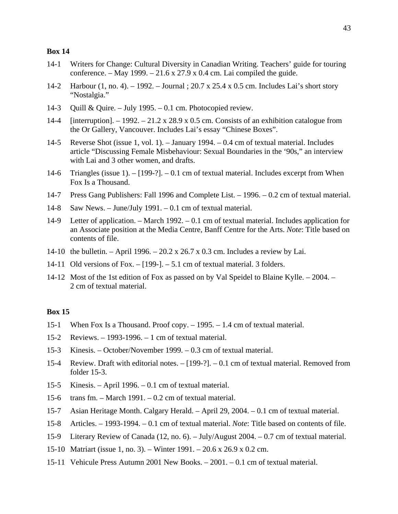- 14-1 Writers for Change: Cultural Diversity in Canadian Writing. Teachers' guide for touring conference. – May 1999. – 21.6 x 27.9 x 0.4 cm. Lai compiled the guide.
- 14-2 Harbour (1, no. 4). 1992. Journal ; 20.7 x 25.4 x 0.5 cm. Includes Lai's short story "Nostalgia."
- 14-3 Quill & Quire. July 1995. 0.1 cm. Photocopied review.
- 14-4 [interruption]. 1992. 21.2 x 28.9 x 0.5 cm. Consists of an exhibition catalogue from the Or Gallery, Vancouver. Includes Lai's essay "Chinese Boxes".
- 14-5 Reverse Shot (issue 1, vol. 1). January 1994. 0.4 cm of textual material. Includes article "Discussing Female Misbehaviour: Sexual Boundaries in the '90s," an interview with Lai and 3 other women, and drafts.
- 14-6 Triangles (issue 1). [199-?]. 0.1 cm of textual material. Includes excerpt from When Fox Is a Thousand.
- 14-7 Press Gang Publishers: Fall 1996 and Complete List. 1996. 0.2 cm of textual material.
- 14-8 Saw News. June/July 1991. 0.1 cm of textual material.
- 14-9 Letter of application. March 1992. 0.1 cm of textual material. Includes application for an Associate position at the Media Centre, Banff Centre for the Arts. *Note*: Title based on contents of file.
- 14-10 the bulletin. April 1996. 20.2 x 26.7 x 0.3 cm. Includes a review by Lai.
- 14-11 Old versions of Fox. [199-]. 5.1 cm of textual material. 3 folders.
- 14-12 Most of the 1st edition of Fox as passed on by Val Speidel to Blaine Kylle. 2004. 2 cm of textual material.

- 15-1 When Fox Is a Thousand. Proof copy. 1995. 1.4 cm of textual material.
- 15-2 Reviews. 1993-1996. 1 cm of textual material.
- 15-3 Kinesis. October/November 1999. 0.3 cm of textual material.
- 15-4 Review. Draft with editorial notes. [199-?]. 0.1 cm of textual material. Removed from folder 15-3.
- 15-5 Kinesis. April 1996. 0.1 cm of textual material.
- 15-6 trans fm. March 1991. 0.2 cm of textual material.
- 15-7 Asian Heritage Month. Calgary Herald. April 29, 2004. 0.1 cm of textual material.
- 15-8 Articles. 1993-1994. 0.1 cm of textual material. *Note*: Title based on contents of file.
- 15-9 Literary Review of Canada (12, no. 6). July/August 2004. 0.7 cm of textual material.
- 15-10 Matriart (issue 1, no. 3). Winter 1991. 20.6 x 26.9 x 0.2 cm.
- 15-11 Vehicule Press Autumn 2001 New Books. 2001. 0.1 cm of textual material.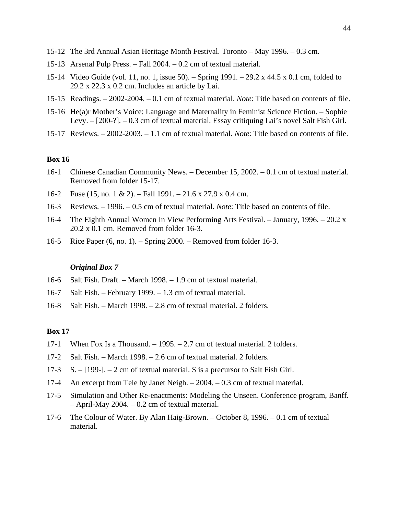- 15-12 The 3rd Annual Asian Heritage Month Festival. Toronto May 1996. 0.3 cm.
- 15-13 Arsenal Pulp Press. Fall 2004. 0.2 cm of textual material.
- 15-14 Video Guide (vol. 11, no. 1, issue 50). Spring 1991. 29.2 x 44.5 x 0.1 cm, folded to  $29.2 \times 22.3 \times 0.2$  cm. Includes an article by Lai.
- 15-15 Readings. 2002-2004. 0.1 cm of textual material. *Note*: Title based on contents of file.
- 15-16 He(a)r Mother's Voice: Language and Maternality in Feminist Science Fiction. Sophie Levy. – [200-?]. – 0.3 cm of textual material. Essay critiquing Lai's novel Salt Fish Girl.
- 15-17 Reviews. 2002-2003. 1.1 cm of textual material. *Note*: Title based on contents of file.

- 16-1 Chinese Canadian Community News. December 15, 2002. 0.1 cm of textual material. Removed from folder 15-17.
- 16-2 Fuse (15, no. 1 & 2). Fall 1991. 21.6 x 27.9 x 0.4 cm.
- 16-3 Reviews. 1996. 0.5 cm of textual material. *Note*: Title based on contents of file.
- 16-4 The Eighth Annual Women In View Performing Arts Festival. January, 1996. 20.2 x 20.2 x 0.1 cm. Removed from folder 16-3.
- 16-5 Rice Paper (6, no. 1). Spring 2000. Removed from folder 16-3.

#### *Original Box 7*

- 16-6 Salt Fish. Draft. March 1998. 1.9 cm of textual material.
- 16-7 Salt Fish. February 1999. 1.3 cm of textual material.
- 16-8 Salt Fish. March 1998. 2.8 cm of textual material. 2 folders.

- 17-1 When Fox Is a Thousand.  $-1995$ .  $-2.7$  cm of textual material. 2 folders.
- 17-2 Salt Fish. March 1998. 2.6 cm of textual material. 2 folders.
- 17-3 S. [199-]. 2 cm of textual material. S is a precursor to Salt Fish Girl.
- 17-4 An excerpt from Tele by Janet Neigh. 2004. 0.3 cm of textual material.
- 17-5 Simulation and Other Re-enactments: Modeling the Unseen. Conference program, Banff. – April-May 2004. – 0.2 cm of textual material.
- 17-6 The Colour of Water. By Alan Haig-Brown. October 8, 1996. 0.1 cm of textual material.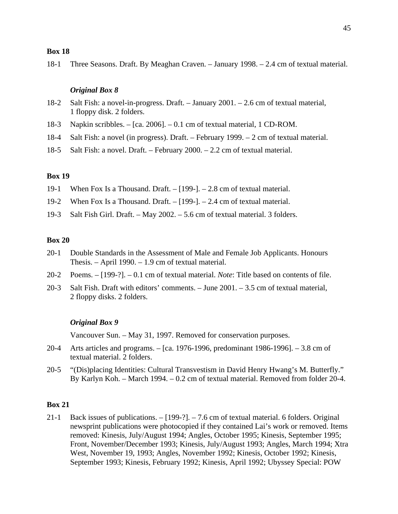18-1 Three Seasons. Draft. By Meaghan Craven. – January 1998. – 2.4 cm of textual material.

## *Original Box 8*

- 18-2 Salt Fish: a novel-in-progress. Draft. January 2001. 2.6 cm of textual material, 1 floppy disk. 2 folders.
- 18-3 Napkin scribbles. [ca. 2006]. 0.1 cm of textual material, 1 CD-ROM.
- 18-4 Salt Fish: a novel (in progress). Draft. February 1999. 2 cm of textual material.
- 18-5 Salt Fish: a novel. Draft. February 2000. 2.2 cm of textual material.

# **Box 19**

- 19-1 When Fox Is a Thousand. Draft. [199-]. 2.8 cm of textual material.
- 19-2 When Fox Is a Thousand. Draft. [199-]. 2.4 cm of textual material.
- 19-3 Salt Fish Girl. Draft. May 2002. 5.6 cm of textual material. 3 folders.

# **Box 20**

- 20-1 Double Standards in the Assessment of Male and Female Job Applicants. Honours Thesis. – April 1990. – 1.9 cm of textual material.
- 20-2 Poems. [199-?]. 0.1 cm of textual material. *Note*: Title based on contents of file.
- 20-3 Salt Fish. Draft with editors' comments. June 2001. 3.5 cm of textual material, 2 floppy disks. 2 folders.

#### *Original Box 9*

Vancouver Sun. – May 31, 1997. Removed for conservation purposes.

- 20-4 Arts articles and programs. [ca. 1976-1996, predominant 1986-1996]. 3.8 cm of textual material. 2 folders.
- 20-5 "(Dis)placing Identities: Cultural Transvestism in David Henry Hwang's M. Butterfly." By Karlyn Koh. – March 1994. – 0.2 cm of textual material. Removed from folder 20-4.

# **Box 21**

21-1 Back issues of publications. – [199-?]. – 7.6 cm of textual material. 6 folders. Original newsprint publications were photocopied if they contained Lai's work or removed. Items removed: Kinesis, July/August 1994; Angles, October 1995; Kinesis, September 1995; Front, November/December 1993; Kinesis, July/August 1993; Angles, March 1994; Xtra West, November 19, 1993; Angles, November 1992; Kinesis, October 1992; Kinesis, September 1993; Kinesis, February 1992; Kinesis, April 1992; Ubyssey Special: POW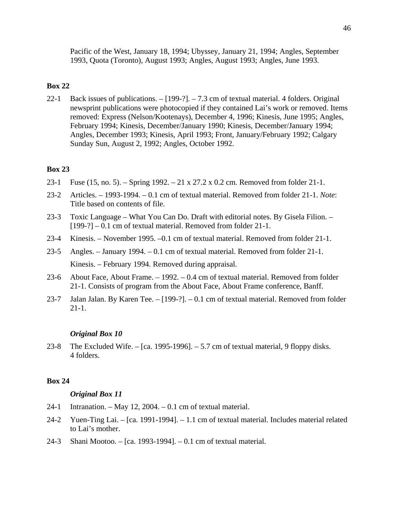Pacific of the West, January 18, 1994; Ubyssey, January 21, 1994; Angles, September 1993, Quota (Toronto), August 1993; Angles, August 1993; Angles, June 1993.

# **Box 22**

22-1 Back issues of publications. – [199-?]. – 7.3 cm of textual material. 4 folders. Original newsprint publications were photocopied if they contained Lai's work or removed. Items removed: Express (Nelson/Kootenays), December 4, 1996; Kinesis, June 1995; Angles, February 1994; Kinesis, December/January 1990; Kinesis, December/January 1994; Angles, December 1993; Kinesis, April 1993; Front, January/February 1992; Calgary Sunday Sun, August 2, 1992; Angles, October 1992.

# **Box 23**

- 23-1 Fuse (15, no. 5). Spring 1992. 21 x 27.2 x 0.2 cm. Removed from folder 21-1.
- 23-2 Articles. 1993-1994. 0.1 cm of textual material. Removed from folder 21-1. *Note*: Title based on contents of file.
- 23-3 Toxic Language What You Can Do. Draft with editorial notes. By Gisela Filion. [199-?] – 0.1 cm of textual material. Removed from folder 21-1.
- 23-4 Kinesis. November 1995. –0.1 cm of textual material. Removed from folder 21-1.
- 23-5 Angles. January 1994. 0.1 cm of textual material. Removed from folder 21-1. Kinesis. – February 1994. Removed during appraisal.
- 23-6 About Face, About Frame. 1992. 0.4 cm of textual material. Removed from folder 21-1. Consists of program from the About Face, About Frame conference, Banff.
- 23-7 Jalan Jalan. By Karen Tee. [199-?]. 0.1 cm of textual material. Removed from folder 21-1.

#### *Original Box 10*

23-8 The Excluded Wife. – [ca. 1995-1996]. – 5.7 cm of textual material, 9 floppy disks. 4 folders.

#### **Box 24**

## *Original Box 11*

- 24-1 Intranation. May 12, 2004. 0.1 cm of textual material.
- 24-2 Yuen-Ting Lai. [ca. 1991-1994]. 1.1 cm of textual material. Includes material related to Lai's mother.
- 24-3 Shani Mootoo. [ca. 1993-1994]. 0.1 cm of textual material.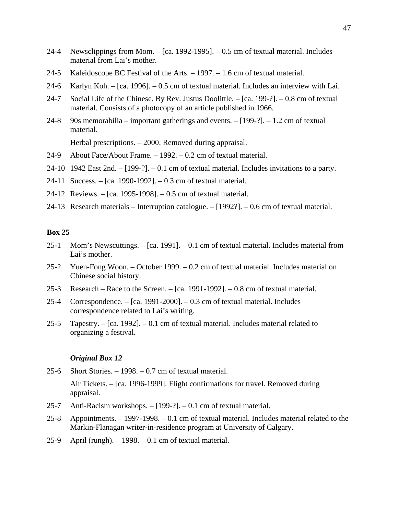- 24-4 Newsclippings from Mom. [ca. 1992-1995]. 0.5 cm of textual material. Includes material from Lai's mother.
- 24-5 Kaleidoscope BC Festival of the Arts. 1997. 1.6 cm of textual material.
- 24-6 Karlyn Koh. [ca. 1996]. 0.5 cm of textual material. Includes an interview with Lai.
- 24-7 Social Life of the Chinese. By Rev. Justus Doolittle. [ca. 199-?]. 0.8 cm of textual material. Consists of a photocopy of an article published in 1966.
- 24-8 90s memorabilia important gatherings and events. [199-?]. 1.2 cm of textual material.

Herbal prescriptions. – 2000. Removed during appraisal.

- 24-9 About Face/About Frame. 1992. 0.2 cm of textual material.
- 24-10 1942 East 2nd. [199-?]. 0.1 cm of textual material. Includes invitations to a party.
- 24-11 Success. [ca. 1990-1992]. 0.3 cm of textual material.
- 24-12 Reviews. [ca. 1995-1998]. 0.5 cm of textual material.
- 24-13 Research materials Interruption catalogue. [1992?]. 0.6 cm of textual material.

# **Box 25**

- 25-1 Mom's Newscuttings. [ca. 1991]. 0.1 cm of textual material. Includes material from Lai's mother.
- 25-2 Yuen-Fong Woon. October 1999. 0.2 cm of textual material. Includes material on Chinese social history.
- 25-3 Research Race to the Screen. [ca. 1991-1992]. 0.8 cm of textual material.
- 25-4 Correspondence. [ca. 1991-2000]. 0.3 cm of textual material. Includes correspondence related to Lai's writing.
- 25-5 Tapestry. [ca. 1992]. 0.1 cm of textual material. Includes material related to organizing a festival.

#### *Original Box 12*

25-6 Short Stories. – 1998. – 0.7 cm of textual material.

 Air Tickets. – [ca. 1996-1999]. Flight confirmations for travel. Removed during appraisal.

- 25-7 Anti-Racism workshops. [199-?]. 0.1 cm of textual material.
- 25-8 Appointments. 1997-1998. 0.1 cm of textual material. Includes material related to the Markin-Flanagan writer-in-residence program at University of Calgary.
- 25-9 April (rungh). 1998. 0.1 cm of textual material.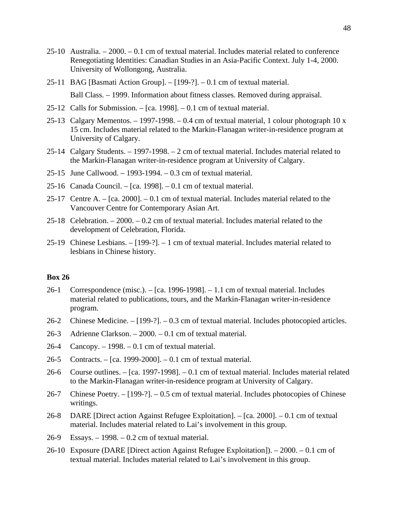- 25-10 Australia. 2000. 0.1 cm of textual material. Includes material related to conference Renegotiating Identities: Canadian Studies in an Asia-Pacific Context. July 1-4, 2000. University of Wollongong, Australia.
- 25-11 BAG [Basmati Action Group]. [199-?]. 0.1 cm of textual material. Ball Class. – 1999. Information about fitness classes. Removed during appraisal.
- 25-12 Calls for Submission. [ca. 1998]. 0.1 cm of textual material.
- 25-13 Calgary Mementos. 1997-1998. 0.4 cm of textual material, 1 colour photograph 10 x 15 cm. Includes material related to the Markin-Flanagan writer-in-residence program at University of Calgary.
- 25-14 Calgary Students. 1997-1998. 2 cm of textual material. Includes material related to the Markin-Flanagan writer-in-residence program at University of Calgary.
- 25-15 June Callwood. 1993-1994. 0.3 cm of textual material.
- 25-16 Canada Council. [ca. 1998]. 0.1 cm of textual material.
- 25-17 Centre A. [ca. 2000]. 0.1 cm of textual material. Includes material related to the Vancouver Centre for Contemporary Asian Art.
- 25-18 Celebration. 2000. 0.2 cm of textual material. Includes material related to the development of Celebration, Florida.
- 25-19 Chinese Lesbians. [199-?]. 1 cm of textual material. Includes material related to lesbians in Chinese history.

- 26-1 Correspondence (misc.). [ca. 1996-1998]. 1.1 cm of textual material. Includes material related to publications, tours, and the Markin-Flanagan writer-in-residence program.
- 26-2 Chinese Medicine. [199-?]. 0.3 cm of textual material. Includes photocopied articles.
- 26-3 Adrienne Clarkson. 2000. 0.1 cm of textual material.
- 26-4 Cancopy. 1998. 0.1 cm of textual material.
- 26-5 Contracts. [ca. 1999-2000]. 0.1 cm of textual material.
- 26-6 Course outlines. [ca. 1997-1998]. 0.1 cm of textual material. Includes material related to the Markin-Flanagan writer-in-residence program at University of Calgary.
- 26-7 Chinese Poetry. [199-?]. 0.5 cm of textual material. Includes photocopies of Chinese writings.
- 26-8 DARE [Direct action Against Refugee Exploitation]. [ca. 2000]. 0.1 cm of textual material. Includes material related to Lai's involvement in this group.
- 26-9 Essays. 1998. 0.2 cm of textual material.
- 26-10 Exposure (DARE [Direct action Against Refugee Exploitation]). 2000. 0.1 cm of textual material. Includes material related to Lai's involvement in this group.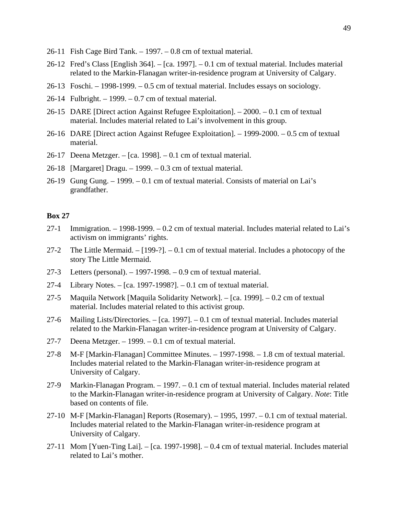- 26-11 Fish Cage Bird Tank. 1997. 0.8 cm of textual material.
- 26-12 Fred's Class [English 364]. [ca. 1997]. 0.1 cm of textual material. Includes material related to the Markin-Flanagan writer-in-residence program at University of Calgary.
- 26-13 Foschi. 1998-1999. 0.5 cm of textual material. Includes essays on sociology.
- 26-14 Fulbright. 1999. 0.7 cm of textual material.
- 26-15 DARE [Direct action Against Refugee Exploitation]. 2000. 0.1 cm of textual material. Includes material related to Lai's involvement in this group.
- 26-16 DARE [Direct action Against Refugee Exploitation]. 1999-2000. 0.5 cm of textual material.
- 26-17 Deena Metzger. [ca. 1998]. 0.1 cm of textual material.
- 26-18 [Margaret] Dragu. 1999. 0.3 cm of textual material.
- 26-19 Gung Gung. 1999. 0.1 cm of textual material. Consists of material on Lai's grandfather.

- 27-1 Immigration. 1998-1999. 0.2 cm of textual material. Includes material related to Lai's activism on immigrants' rights.
- 27-2 The Little Mermaid. [199-?]. 0.1 cm of textual material. Includes a photocopy of the story The Little Mermaid.
- 27-3 Letters (personal). 1997-1998. 0.9 cm of textual material.
- 27-4 Library Notes. [ca. 1997-1998?]. 0.1 cm of textual material.
- 27-5 Maquila Network [Maquila Solidarity Network]. [ca. 1999]. 0.2 cm of textual material. Includes material related to this activist group.
- 27-6 Mailing Lists/Directories. [ca. 1997]. 0.1 cm of textual material. Includes material related to the Markin-Flanagan writer-in-residence program at University of Calgary.
- 27-7 Deena Metzger. 1999. 0.1 cm of textual material.
- 27-8 M-F [Markin-Flanagan] Committee Minutes. 1997-1998. 1.8 cm of textual material. Includes material related to the Markin-Flanagan writer-in-residence program at University of Calgary.
- 27-9 Markin-Flanagan Program. 1997. 0.1 cm of textual material. Includes material related to the Markin-Flanagan writer-in-residence program at University of Calgary. *Note*: Title based on contents of file.
- 27-10 M-F [Markin-Flanagan] Reports (Rosemary). 1995, 1997. 0.1 cm of textual material. Includes material related to the Markin-Flanagan writer-in-residence program at University of Calgary.
- 27-11 Mom [Yuen-Ting Lai]. [ca. 1997-1998]. 0.4 cm of textual material. Includes material related to Lai's mother.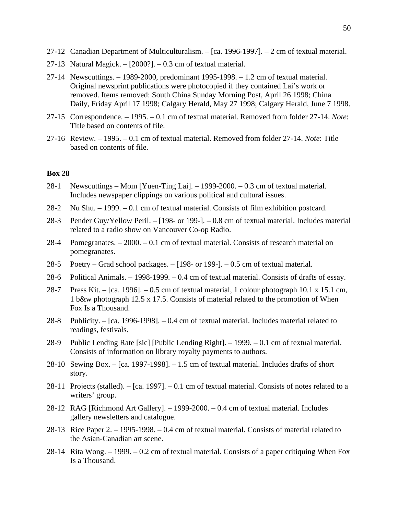- 27-12 Canadian Department of Multiculturalism. [ca. 1996-1997]. 2 cm of textual material.
- 27-13 Natural Magick. [2000?]. 0.3 cm of textual material.
- 27-14 Newscuttings. 1989-2000, predominant 1995-1998. 1.2 cm of textual material. Original newsprint publications were photocopied if they contained Lai's work or removed. Items removed: South China Sunday Morning Post, April 26 1998; China Daily, Friday April 17 1998; Calgary Herald, May 27 1998; Calgary Herald, June 7 1998.
- 27-15 Correspondence. 1995. 0.1 cm of textual material. Removed from folder 27-14. *Note*: Title based on contents of file.
- 27-16 Review. 1995. 0.1 cm of textual material. Removed from folder 27-14. *Note*: Title based on contents of file.

- 28-1 Newscuttings Mom [Yuen-Ting Lai]. 1999-2000. 0.3 cm of textual material. Includes newspaper clippings on various political and cultural issues.
- 28-2 Nu Shu. 1999. 0.1 cm of textual material. Consists of film exhibition postcard.
- 28-3 Pender Guy/Yellow Peril. [198- or 199-]. 0.8 cm of textual material. Includes material related to a radio show on Vancouver Co-op Radio.
- 28-4 Pomegranates. 2000. 0.1 cm of textual material. Consists of research material on pomegranates.
- 28-5 Poetry Grad school packages. [198- or 199-]. 0.5 cm of textual material.
- 28-6 Political Animals. 1998-1999. 0.4 cm of textual material. Consists of drafts of essay.
- 28-7 Press Kit. [ca. 1996]. 0.5 cm of textual material, 1 colour photograph 10.1 x 15.1 cm, 1 b&w photograph 12.5 x 17.5. Consists of material related to the promotion of When Fox Is a Thousand.
- 28-8 Publicity. [ca. 1996-1998]. 0.4 cm of textual material. Includes material related to readings, festivals.
- 28-9 Public Lending Rate [sic] [Public Lending Right]. 1999. 0.1 cm of textual material. Consists of information on library royalty payments to authors.
- 28-10 Sewing Box. [ca. 1997-1998]. 1.5 cm of textual material. Includes drafts of short story.
- 28-11 Projects (stalled). [ca. 1997]. 0.1 cm of textual material. Consists of notes related to a writers' group.
- 28-12 RAG [Richmond Art Gallery]. 1999-2000. 0.4 cm of textual material. Includes gallery newsletters and catalogue.
- 28-13 Rice Paper 2. 1995-1998. 0.4 cm of textual material. Consists of material related to the Asian-Canadian art scene.
- 28-14 Rita Wong.  $-1999$ .  $-0.2$  cm of textual material. Consists of a paper critiquing When Fox Is a Thousand.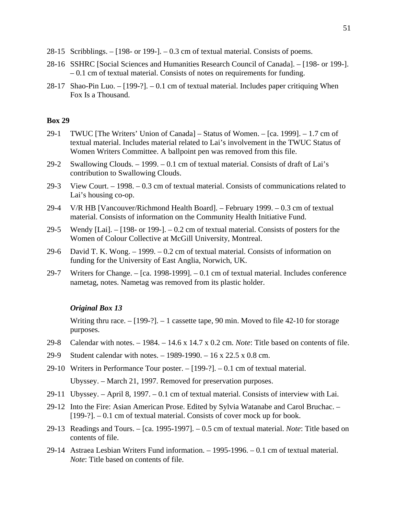- 28-15 Scribblings. [198- or 199-]. 0.3 cm of textual material. Consists of poems.
- 28-16 SSHRC [Social Sciences and Humanities Research Council of Canada]. [198- or 199-]. – 0.1 cm of textual material. Consists of notes on requirements for funding.
- 28-17 Shao-Pin Luo. [199-?]. 0.1 cm of textual material. Includes paper critiquing When Fox Is a Thousand.

- 29-1 TWUC [The Writers' Union of Canada] Status of Women. [ca. 1999]. 1.7 cm of textual material. Includes material related to Lai's involvement in the TWUC Status of Women Writers Committee. A ballpoint pen was removed from this file.
- 29-2 Swallowing Clouds. 1999. 0.1 cm of textual material. Consists of draft of Lai's contribution to Swallowing Clouds.
- 29-3 View Court. 1998. 0.3 cm of textual material. Consists of communications related to Lai's housing co-op.
- 29-4 V/R HB [Vancouver/Richmond Health Board]. February 1999. 0.3 cm of textual material. Consists of information on the Community Health Initiative Fund.
- 29-5 Wendy [Lai]. [198- or 199-]. 0.2 cm of textual material. Consists of posters for the Women of Colour Collective at McGill University, Montreal.
- 29-6 David T. K. Wong. 1999. 0.2 cm of textual material. Consists of information on funding for the University of East Anglia, Norwich, UK.
- 29-7 Writers for Change. [ca. 1998-1999]. 0.1 cm of textual material. Includes conference nametag, notes. Nametag was removed from its plastic holder.

# *Original Box 13*

Writing thru race.  $-[199-?]$ .  $-1$  cassette tape, 90 min. Moved to file 42-10 for storage purposes.

- 29-8 Calendar with notes. 1984. 14.6 x 14.7 x 0.2 cm. *Note*: Title based on contents of file.
- 29-9 Student calendar with notes. 1989-1990. 16 x 22.5 x 0.8 cm.
- 29-10 Writers in Performance Tour poster. [199-?]. 0.1 cm of textual material. Ubyssey. – March 21, 1997. Removed for preservation purposes.
- 29-11 Ubyssey. April 8, 1997. 0.1 cm of textual material. Consists of interview with Lai.
- 29-12 Into the Fire: Asian American Prose. Edited by Sylvia Watanabe and Carol Bruchac.  $[199-?]$ . – 0.1 cm of textual material. Consists of cover mock up for book.
- 29-13 Readings and Tours. [ca. 1995-1997]. 0.5 cm of textual material. *Note*: Title based on contents of file.
- 29-14 Astraea Lesbian Writers Fund information. 1995-1996. 0.1 cm of textual material. *Note*: Title based on contents of file.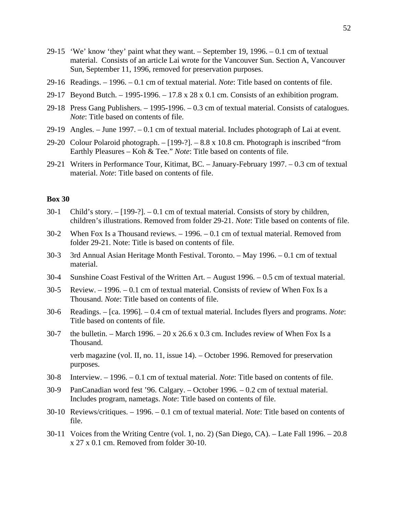- 29-15 'We' know 'they' paint what they want. September 19, 1996. 0.1 cm of textual material. Consists of an article Lai wrote for the Vancouver Sun. Section A, Vancouver Sun, September 11, 1996, removed for preservation purposes.
- 29-16 Readings. 1996. 0.1 cm of textual material. *Note*: Title based on contents of file.
- 29-17 Beyond Butch. 1995-1996. 17.8 x 28 x 0.1 cm. Consists of an exhibition program.
- 29-18 Press Gang Publishers. 1995-1996. 0.3 cm of textual material. Consists of catalogues. *Note*: Title based on contents of file.
- 29-19 Angles. June 1997. 0.1 cm of textual material. Includes photograph of Lai at event.
- 29-20 Colour Polaroid photograph. [199-?]. 8.8 x 10.8 cm. Photograph is inscribed "from Earthly Pleasures – Koh & Tee." *Note*: Title based on contents of file.
- 29-21 Writers in Performance Tour, Kitimat, BC. January-February 1997. 0.3 cm of textual material. *Note*: Title based on contents of file.

- 30-1 Child's story. [199-?]. 0.1 cm of textual material. Consists of story by children, children's illustrations. Removed from folder 29-21. *Note*: Title based on contents of file.
- 30-2 When Fox Is a Thousand reviews. 1996. 0.1 cm of textual material. Removed from folder 29-21. Note: Title is based on contents of file.
- 30-3 3rd Annual Asian Heritage Month Festival. Toronto. May 1996. 0.1 cm of textual material.
- 30-4 Sunshine Coast Festival of the Written Art. August 1996. 0.5 cm of textual material.
- 30-5 Review. 1996. 0.1 cm of textual material. Consists of review of When Fox Is a Thousand. *Note*: Title based on contents of file.
- 30-6 Readings. [ca. 1996]. 0.4 cm of textual material. Includes flyers and programs. *Note*: Title based on contents of file.
- 30-7 the bulletin. March 1996. 20 x 26.6 x 0.3 cm. Includes review of When Fox Is a Thousand.

 verb magazine (vol. II, no. 11, issue 14). – October 1996. Removed for preservation purposes.

- 30-8 Interview. 1996. 0.1 cm of textual material. *Note*: Title based on contents of file.
- 30-9 PanCanadian word fest '96. Calgary. October 1996. 0.2 cm of textual material. Includes program, nametags. *Note*: Title based on contents of file.
- 30-10 Reviews/critiques. 1996. 0.1 cm of textual material. *Note*: Title based on contents of file.
- 30-11 Voices from the Writing Centre (vol. 1, no. 2) (San Diego, CA). Late Fall 1996. 20.8 x 27 x 0.1 cm. Removed from folder 30-10.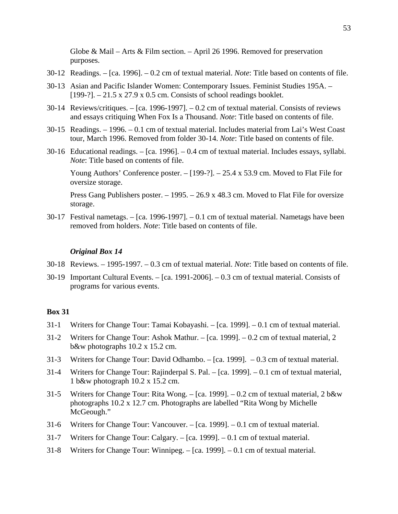Globe & Mail – Arts & Film section. – April 26 1996. Removed for preservation purposes.

- 30-12 Readings. [ca. 1996]. 0.2 cm of textual material. *Note*: Title based on contents of file.
- 30-13 Asian and Pacific Islander Women: Contemporary Issues. Feminist Studies 195A. [199-?]. – 21.5 x 27.9 x 0.5 cm. Consists of school readings booklet.
- 30-14 Reviews/critiques. [ca. 1996-1997]. 0.2 cm of textual material. Consists of reviews and essays critiquing When Fox Is a Thousand. *Note*: Title based on contents of file.
- 30-15 Readings. 1996. 0.1 cm of textual material. Includes material from Lai's West Coast tour, March 1996. Removed from folder 30-14. *Note*: Title based on contents of file.
- 30-16 Educational readings. [ca. 1996]. 0.4 cm of textual material. Includes essays, syllabi. *Note*: Title based on contents of file.

 Young Authors' Conference poster. – [199-?]. – 25.4 x 53.9 cm. Moved to Flat File for oversize storage.

 Press Gang Publishers poster. – 1995. – 26.9 x 48.3 cm. Moved to Flat File for oversize storage.

30-17 Festival nametags. – [ca. 1996-1997]. – 0.1 cm of textual material. Nametags have been removed from holders. *Note*: Title based on contents of file.

## *Original Box 14*

- 30-18 Reviews. 1995-1997. 0.3 cm of textual material. *Note*: Title based on contents of file.
- 30-19 Important Cultural Events. [ca. 1991-2006]. 0.3 cm of textual material. Consists of programs for various events.

- 31-1 Writers for Change Tour: Tamai Kobayashi. [ca. 1999]. 0.1 cm of textual material.
- 31-2 Writers for Change Tour: Ashok Mathur. [ca. 1999]. 0.2 cm of textual material, 2 b&w photographs 10.2 x 15.2 cm.
- 31-3 Writers for Change Tour: David Odhambo. [ca. 1999]. 0.3 cm of textual material.
- 31-4 Writers for Change Tour: Rajinderpal S. Pal. [ca. 1999]. 0.1 cm of textual material, 1 b&w photograph 10.2 x 15.2 cm.
- 31-5 Writers for Change Tour: Rita Wong. [ca. 1999]. 0.2 cm of textual material, 2 b&w photographs 10.2 x 12.7 cm. Photographs are labelled "Rita Wong by Michelle McGeough."
- 31-6 Writers for Change Tour: Vancouver. [ca. 1999]. 0.1 cm of textual material.
- 31-7 Writers for Change Tour: Calgary. [ca. 1999]. 0.1 cm of textual material.
- 31-8 Writers for Change Tour: Winnipeg. [ca. 1999]. 0.1 cm of textual material.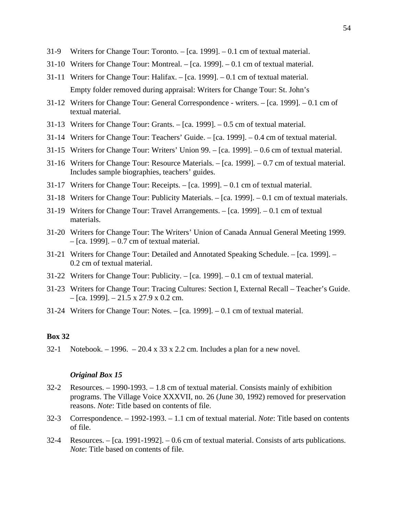- 31-9 Writers for Change Tour: Toronto. [ca. 1999]. 0.1 cm of textual material.
- 31-10 Writers for Change Tour: Montreal. [ca. 1999]. 0.1 cm of textual material.
- 31-11 Writers for Change Tour: Halifax. [ca. 1999]. 0.1 cm of textual material. Empty folder removed during appraisal: Writers for Change Tour: St. John's
- 31-12 Writers for Change Tour: General Correspondence writers. [ca. 1999]. 0.1 cm of textual material.
- 31-13 Writers for Change Tour: Grants. [ca. 1999]. 0.5 cm of textual material.
- 31-14 Writers for Change Tour: Teachers' Guide. [ca. 1999]. 0.4 cm of textual material.
- 31-15 Writers for Change Tour: Writers' Union 99. [ca. 1999]. 0.6 cm of textual material.
- 31-16 Writers for Change Tour: Resource Materials. [ca. 1999]. 0.7 cm of textual material. Includes sample biographies, teachers' guides.
- 31-17 Writers for Change Tour: Receipts. [ca. 1999]. 0.1 cm of textual material.
- 31-18 Writers for Change Tour: Publicity Materials. [ca. 1999]. 0.1 cm of textual materials.
- 31-19 Writers for Change Tour: Travel Arrangements. [ca. 1999]. 0.1 cm of textual materials.
- 31-20 Writers for Change Tour: The Writers' Union of Canada Annual General Meeting 1999.  $-$  [ca. 1999].  $-$  0.7 cm of textual material.
- 31-21 Writers for Change Tour: Detailed and Annotated Speaking Schedule. [ca. 1999]. 0.2 cm of textual material.
- 31-22 Writers for Change Tour: Publicity. [ca. 1999]. 0.1 cm of textual material.
- 31-23 Writers for Change Tour: Tracing Cultures: Section I, External Recall Teacher's Guide.  $-$  [ca. 1999].  $-$  21.5 x 27.9 x 0.2 cm.
- 31-24 Writers for Change Tour: Notes. [ca. 1999]. 0.1 cm of textual material.

32-1 Notebook. – 1996. – 20.4 x 33 x 2.2 cm. Includes a plan for a new novel.

## *Original Box 15*

- 32-2 Resources. 1990-1993. 1.8 cm of textual material. Consists mainly of exhibition programs. The Village Voice XXXVII, no. 26 (June 30, 1992) removed for preservation reasons. *Note*: Title based on contents of file.
- 32-3 Correspondence. 1992-1993. 1.1 cm of textual material. *Note*: Title based on contents of file.
- 32-4 Resources.  $[ca. 1991-1992]$ . 0.6 cm of textual material. Consists of arts publications. *Note*: Title based on contents of file.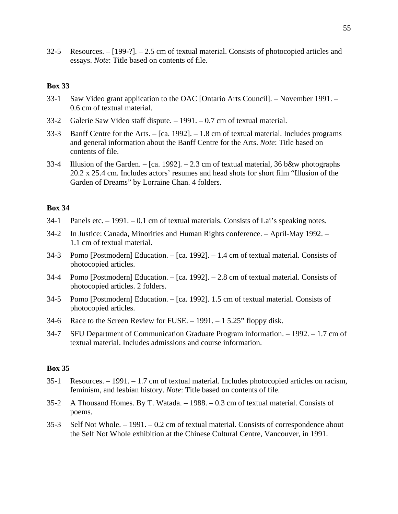32-5 Resources. – [199-?]. – 2.5 cm of textual material. Consists of photocopied articles and essays. *Note*: Title based on contents of file.

# **Box 33**

- 33-1 Saw Video grant application to the OAC [Ontario Arts Council]. November 1991. 0.6 cm of textual material.
- 33-2 Galerie Saw Video staff dispute. 1991. 0.7 cm of textual material.
- 33-3 Banff Centre for the Arts. [ca. 1992]. 1.8 cm of textual material. Includes programs and general information about the Banff Centre for the Arts. *Note*: Title based on contents of file.
- 33-4 Illusion of the Garden. [ca. 1992]. 2.3 cm of textual material, 36 b&w photographs 20.2 x 25.4 cm. Includes actors' resumes and head shots for short film "Illusion of the Garden of Dreams" by Lorraine Chan. 4 folders.

# **Box 34**

- 34-1 Panels etc. 1991. 0.1 cm of textual materials. Consists of Lai's speaking notes.
- 34-2 In Justice: Canada, Minorities and Human Rights conference. April-May 1992. 1.1 cm of textual material.
- 34-3 Pomo [Postmodern] Education. [ca. 1992]. 1.4 cm of textual material. Consists of photocopied articles.
- 34-4 Pomo [Postmodern] Education. [ca. 1992]. 2.8 cm of textual material. Consists of photocopied articles. 2 folders.
- 34-5 Pomo [Postmodern] Education. [ca. 1992]. 1.5 cm of textual material. Consists of photocopied articles.
- 34-6 Race to the Screen Review for FUSE. 1991. 1 5.25" floppy disk.
- 34-7 SFU Department of Communication Graduate Program information. 1992. 1.7 cm of textual material. Includes admissions and course information.

- 35-1 Resources. 1991. 1.7 cm of textual material. Includes photocopied articles on racism, feminism, and lesbian history. *Note*: Title based on contents of file.
- 35-2 A Thousand Homes. By T. Watada. 1988. 0.3 cm of textual material. Consists of poems.
- 35-3 Self Not Whole. 1991. 0.2 cm of textual material. Consists of correspondence about the Self Not Whole exhibition at the Chinese Cultural Centre, Vancouver, in 1991.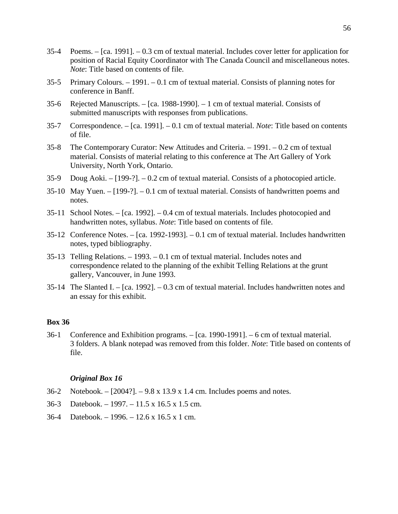- 35-4 Poems. [ca. 1991]. 0.3 cm of textual material. Includes cover letter for application for position of Racial Equity Coordinator with The Canada Council and miscellaneous notes. *Note*: Title based on contents of file.
- 35-5 Primary Colours. 1991. 0.1 cm of textual material. Consists of planning notes for conference in Banff.
- 35-6 Rejected Manuscripts. [ca. 1988-1990]. 1 cm of textual material. Consists of submitted manuscripts with responses from publications.
- 35-7 Correspondence. [ca. 1991]. 0.1 cm of textual material. *Note*: Title based on contents of file.
- 35-8 The Contemporary Curator: New Attitudes and Criteria. 1991. 0.2 cm of textual material. Consists of material relating to this conference at The Art Gallery of York University, North York, Ontario.
- 35-9 Doug Aoki. [199-?]. 0.2 cm of textual material. Consists of a photocopied article.
- 35-10 May Yuen. [199-?]. 0.1 cm of textual material. Consists of handwritten poems and notes.
- 35-11 School Notes. [ca. 1992]. 0.4 cm of textual materials. Includes photocopied and handwritten notes, syllabus. *Note*: Title based on contents of file.
- 35-12 Conference Notes. [ca. 1992-1993]. 0.1 cm of textual material. Includes handwritten notes, typed bibliography.
- 35-13 Telling Relations. 1993. 0.1 cm of textual material. Includes notes and correspondence related to the planning of the exhibit Telling Relations at the grunt gallery, Vancouver, in June 1993.
- 35-14 The Slanted I. [ca. 1992]. 0.3 cm of textual material. Includes handwritten notes and an essay for this exhibit.

36-1 Conference and Exhibition programs. – [ca. 1990-1991]. – 6 cm of textual material. 3 folders. A blank notepad was removed from this folder. *Note*: Title based on contents of file.

#### *Original Box 16*

- 36-2 Notebook. [2004?]. 9.8 x 13.9 x 1.4 cm. Includes poems and notes.
- 36-3 Datebook. 1997. 11.5 x 16.5 x 1.5 cm.
- 36-4 Datebook. 1996. 12.6 x 16.5 x 1 cm.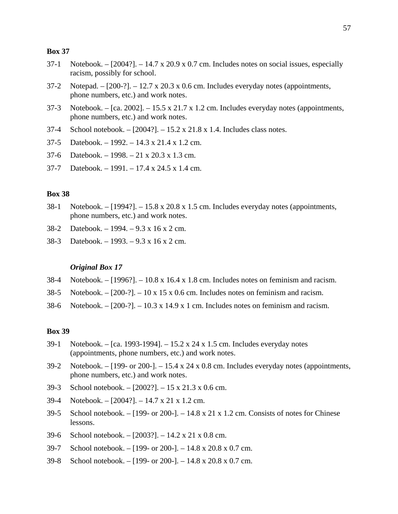- 37-1 Notebook. [2004?]. 14.7 x 20.9 x 0.7 cm. Includes notes on social issues, especially racism, possibly for school.
- 37-2 Notepad.  $[200-$ ?]. 12.7 x 20.3 x 0.6 cm. Includes everyday notes (appointments, phone numbers, etc.) and work notes.
- 37-3 Notebook. [ca. 2002]. 15.5 x 21.7 x 1.2 cm. Includes everyday notes (appointments, phone numbers, etc.) and work notes.
- 37-4 School notebook. [2004?]. 15.2 x 21.8 x 1.4. Includes class notes.
- 37-5 Datebook. 1992. 14.3 x 21.4 x 1.2 cm.
- 37-6 Datebook. 1998. 21 x 20.3 x 1.3 cm.
- 37-7 Datebook. 1991. 17.4 x 24.5 x 1.4 cm.

## **Box 38**

- 38-1 Notebook. [1994?]. 15.8 x 20.8 x 1.5 cm. Includes everyday notes (appointments, phone numbers, etc.) and work notes.
- 38-2 Datebook. 1994. 9.3 x 16 x 2 cm.
- 38-3 Datebook. 1993. 9.3 x 16 x 2 cm.

#### *Original Box 17*

- 38-4 Notebook. [1996?]. 10.8 x 16.4 x 1.8 cm. Includes notes on feminism and racism.
- 38-5 Notebook.  $[200-?]$ . 10 x 15 x 0.6 cm. Includes notes on feminism and racism.
- 38-6 Notebook. [200-?]. 10.3 x 14.9 x 1 cm. Includes notes on feminism and racism.

- 39-1 Notebook. [ca. 1993-1994]. 15.2 x 24 x 1.5 cm. Includes everyday notes (appointments, phone numbers, etc.) and work notes.
- 39-2 Notebook. [199- or 200-]. 15.4 x 24 x 0.8 cm. Includes everyday notes (appointments, phone numbers, etc.) and work notes.
- 39-3 School notebook. [2002?]. 15 x 21.3 x 0.6 cm.
- 39-4 Notebook. [2004?]. 14.7 x 21 x 1.2 cm.
- 39-5 School notebook. [199- or 200-]. 14.8 x 21 x 1.2 cm. Consists of notes for Chinese lessons.
- 39-6 School notebook. [2003?]. 14.2 x 21 x 0.8 cm.
- 39-7 School notebook. [199- or 200-]. 14.8 x 20.8 x 0.7 cm.
- 39-8 School notebook. [199- or 200-]. 14.8 x 20.8 x 0.7 cm.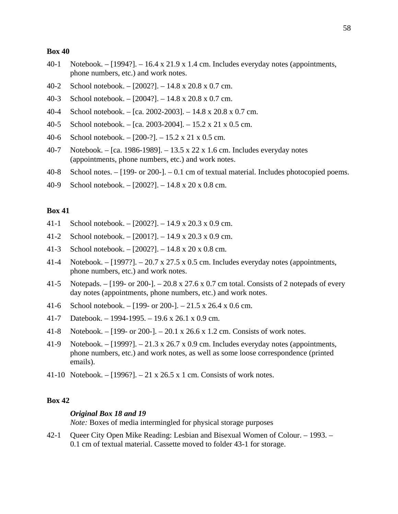- 40-1 Notebook. [1994?]. 16.4 x 21.9 x 1.4 cm. Includes everyday notes (appointments, phone numbers, etc.) and work notes.
- 40-2 School notebook. [2002?]. 14.8 x 20.8 x 0.7 cm.
- 40-3 School notebook. [2004?]. 14.8 x 20.8 x 0.7 cm.
- 40-4 School notebook. [ca. 2002-2003]. 14.8 x 20.8 x 0.7 cm.
- 40-5 School notebook. [ca. 2003-2004]. 15.2 x 21 x 0.5 cm.
- 40-6 School notebook. [200-?]. 15.2 x 21 x 0.5 cm.
- 40-7 Notebook. [ca. 1986-1989]. 13.5 x 22 x 1.6 cm. Includes everyday notes (appointments, phone numbers, etc.) and work notes.
- 40-8 School notes. [199- or 200-]. 0.1 cm of textual material. Includes photocopied poems.
- 40-9 School notebook. [2002?]. 14.8 x 20 x 0.8 cm.

# **Box 41**

- 41-1 School notebook. [2002?]. 14.9 x 20.3 x 0.9 cm.
- 41-2 School notebook. [2001?]. 14.9 x 20.3 x 0.9 cm.
- 41-3 School notebook. [2002?]. 14.8 x 20 x 0.8 cm.
- 41-4 Notebook. [1997?]. 20.7 x 27.5 x 0.5 cm. Includes everyday notes (appointments, phone numbers, etc.) and work notes.
- 41-5 Notepads. [199- or 200-]. 20.8 x 27.6 x 0.7 cm total. Consists of 2 notepads of every day notes (appointments, phone numbers, etc.) and work notes.
- 41-6 School notebook. [199- or 200-]. 21.5 x 26.4 x 0.6 cm.
- 41-7 Datebook. 1994-1995. 19.6 x 26.1 x 0.9 cm.
- 41-8 Notebook. [199- or 200-]. 20.1 x 26.6 x 1.2 cm. Consists of work notes.
- 41-9 Notebook. [1999?]. 21.3 x 26.7 x 0.9 cm. Includes everyday notes (appointments, phone numbers, etc.) and work notes, as well as some loose correspondence (printed emails).
- 41-10 Notebook. [1996?]. 21 x 26.5 x 1 cm. Consists of work notes.

# **Box 42**

## *Original Box 18 and 19*

*Note:* Boxes of media intermingled for physical storage purposes

42-1 Queer City Open Mike Reading: Lesbian and Bisexual Women of Colour. – 1993. – 0.1 cm of textual material. Cassette moved to folder 43-1 for storage.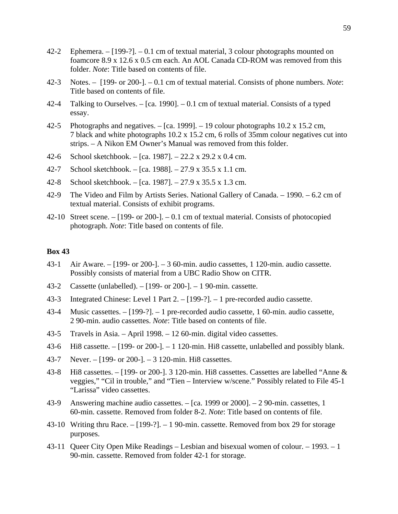- 42-2 Ephemera. [199-?]. 0.1 cm of textual material, 3 colour photographs mounted on foamcore 8.9 x 12.6 x 0.5 cm each. An AOL Canada CD-ROM was removed from this folder. *Note*: Title based on contents of file.
- 42-3 Notes. [199- or 200-]. 0.1 cm of textual material. Consists of phone numbers. *Note*: Title based on contents of file.
- 42-4 Talking to Ourselves. [ca. 1990]. 0.1 cm of textual material. Consists of a typed essay.
- 42-5 Photographs and negatives. [ca. 1999]. 19 colour photographs 10.2 x 15.2 cm, 7 black and white photographs 10.2 x 15.2 cm, 6 rolls of 35mm colour negatives cut into strips. – A Nikon EM Owner's Manual was removed from this folder.
- 42-6 School sketchbook. [ca. 1987]. 22.2 x 29.2 x 0.4 cm.
- 42-7 School sketchbook. [ca. 1988]. 27.9 x 35.5 x 1.1 cm.
- 42-8 School sketchbook. [ca. 1987]. 27.9 x 35.5 x 1.3 cm.
- 42-9 The Video and Film by Artists Series. National Gallery of Canada. 1990. 6.2 cm of textual material. Consists of exhibit programs.
- 42-10 Street scene.  $-[199-$  or 200-].  $-0.1$  cm of textual material. Consists of photocopied photograph. *Note*: Title based on contents of file.

- 43-1 Air Aware. [199- or 200-]. 3 60-min. audio cassettes, 1 120-min. audio cassette. Possibly consists of material from a UBC Radio Show on CITR.
- 43-2 Cassette (unlabelled). [199- or 200-]. 1 90-min. cassette.
- 43-3 Integrated Chinese: Level 1 Part 2. [199-?]. 1 pre-recorded audio cassette.
- 43-4 Music cassettes. [199-?]. 1 pre-recorded audio cassette, 1 60-min. audio cassette, 2 90-min. audio cassettes. *Note*: Title based on contents of file.
- 43-5 Travels in Asia. April 1998. 12 60-min. digital video cassettes.
- 43-6 Hi8 cassette. [199- or 200-]. 1 120-min. Hi8 cassette, unlabelled and possibly blank.
- 43-7 Never. [199- or 200-]. 3 120-min. Hi8 cassettes.
- 43-8 Hi8 cassettes. [199- or 200-]. 3 120-min. Hi8 cassettes. Cassettes are labelled "Anne & veggies," "Cil in trouble," and "Tien – Interview w/scene." Possibly related to File 45-1 "Larissa" video cassettes.
- 43-9 Answering machine audio cassettes. [ca. 1999 or 2000]. 2 90-min. cassettes, 1 60-min. cassette. Removed from folder 8-2. *Note*: Title based on contents of file.
- 43-10 Writing thru Race. [199-?]. 1 90-min. cassette. Removed from box 29 for storage purposes.
- 43-11 Queer City Open Mike Readings Lesbian and bisexual women of colour. 1993. 1 90-min. cassette. Removed from folder 42-1 for storage.